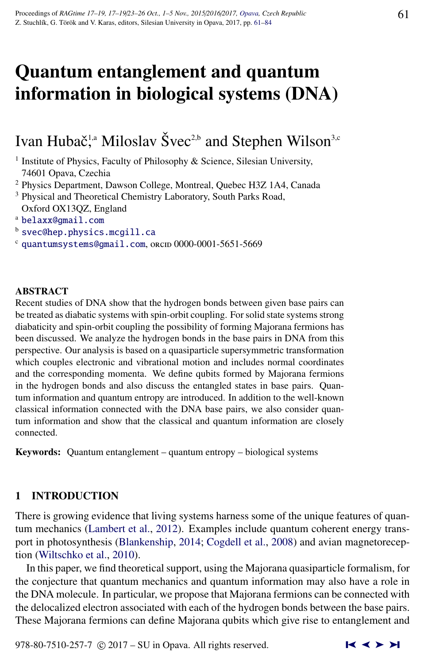# Quantum entanglement and quantum information in biological systems (DNA)

Ivan Hubač<sup>1,a</sup> Miloslav Švec<sup>2,b</sup> and Stephen Wilson<sup>3,c</sup>

<sup>1</sup> Institute of Physics, Faculty of Philosophy & Science, Silesian University, 74601 Opava, Czechia

- <sup>2</sup> Physics Department, Dawson College, Montreal, Quebec H3Z 1A4, Canada
- <sup>3</sup> Physical and Theoretical Chemistry Laboratory, South Parks Road, Oxford OX13QZ, England
- <sup>a</sup> [belaxx@gmail.com](http://www.physics.cz/ belaxx@gmail.com)
- b [svec@hep.physics.mcgill.ca](http://www.physics.cz/ svec@hep.physics.mcgill.ca)
- $c$  [quantumsystems@gmail.com](http://www.physics.cz/ quantumsystems@gmail.com), orcud 0000-0001-5651-5669

#### ABSTRACT

Recent studies of DNA show that the hydrogen bonds between given base pairs can be treated as diabatic systems with spin-orbit coupling. For solid state systems strong diabaticity and spin-orbit coupling the possibility of forming Majorana fermions has been discussed. We analyze the hydrogen bonds in the base pairs in DNA from this perspective. Our analysis is based on a quasiparticle supersymmetric transformation which couples electronic and vibrational motion and includes normal coordinates and the corresponding momenta. We define qubits formed by Majorana fermions in the hydrogen bonds and also discuss the entangled states in base pairs. Quantum information and quantum entropy are introduced. In addition to the well-known classical information connected with the DNA base pairs, we also consider quantum information and show that the classical and quantum information are closely connected.

Keywords: Quantum entanglement – quantum entropy – biological systems

# 1 INTRODUCTION

There is growing evidence that living systems harness some of the unique features of quantum mechanics [\(Lambert et al.,](#page-20-0) [2012\)](#page-20-0). Examples include quantum coherent energy transport in photosynthesis [\(Blankenship,](#page-17-0) [2014;](#page-17-0) [Cogdell et al.,](#page-17-0) [2008\)](#page-17-0) and avian magnetoreception [\(Wiltschko et al.,](#page-23-0) [2010\)](#page-23-0).

In this paper, we find theoretical support, using the Majorana quasiparticle formalism, for the conjecture that quantum mechanics and quantum information may also have a role in the DNA molecule. In particular, we propose that Majorana fermions can be connected with the delocalized electron associated with each of the hydrogen bonds between the base pairs. These Majorana fermions can define Majorana qubits which give rise to entanglement and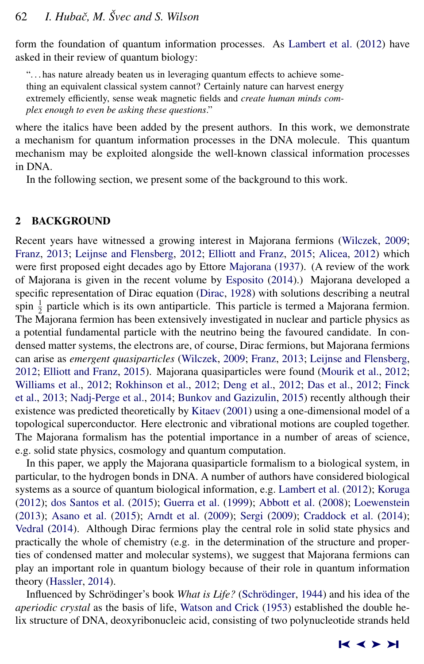<span id="page-1-0"></span>form the foundation of quantum information processes. As [Lambert et al.](#page-20-0) [\(2012\)](#page-20-0) have asked in their review of quantum biology:

". . . has nature already beaten us in leveraging quantum effects to achieve something an equivalent classical system cannot? Certainly nature can harvest energy extremely efficiently, sense weak magnetic fields and *create human minds complex enough to even be asking these questions*."

where the italics have been added by the present authors. In this work, we demonstrate a mechanism for quantum information processes in the DNA molecule. This quantum mechanism may be exploited alongside the well-known classical information processes in DNA.

In the following section, we present some of the background to this work.

## 2 BACKGROUND

Recent years have witnessed a growing interest in Majorana fermions [\(Wilczek,](#page-23-0) [2009;](#page-23-0) [Franz,](#page-19-0) [2013;](#page-19-0) [Leijnse and Flensberg,](#page-20-0) [2012;](#page-20-0) [Elliott and Franz,](#page-18-0) [2015;](#page-18-0) [Alicea,](#page-17-0) [2012\)](#page-17-0) which were first proposed eight decades ago by Ettore [Majorana](#page-20-0) [\(1937\)](#page-20-0). (A review of the work of Majorana is given in the recent volume by [Esposito](#page-18-0) [\(2014\)](#page-18-0).) Majorana developed a specific representation of Dirac equation [\(Dirac,](#page-18-0) [1928\)](#page-18-0) with solutions describing a neutral spin  $\frac{1}{2}$  particle which is its own antiparticle. This particle is termed a Majorana fermion. The Majorana fermion has been extensively investigated in nuclear and particle physics as a potential fundamental particle with the neutrino being the favoured candidate. In condensed matter systems, the electrons are, of course, Dirac fermions, but Majorana fermions can arise as *emergent quasiparticles* [\(Wilczek,](#page-23-0) [2009;](#page-23-0) [Franz,](#page-19-0) [2013;](#page-19-0) [Leijnse and Flensberg,](#page-20-0) [2012;](#page-20-0) [Elliott and Franz,](#page-18-0) [2015\)](#page-18-0). Majorana quasiparticles were found [\(Mourik et al.,](#page-21-0) [2012;](#page-21-0) [Williams et al.,](#page-23-0) [2012;](#page-23-0) [Rokhinson et al.,](#page-22-0) [2012;](#page-22-0) [Deng et al.,](#page-18-0) [2012;](#page-18-0) [Das et al.,](#page-18-0) [2012;](#page-18-0) [Finck](#page-18-0) [et al.,](#page-18-0) [2013;](#page-18-0) [Nadj-Perge et al.,](#page-21-0) [2014;](#page-21-0) [Bunkov and Gazizulin,](#page-17-0) [2015\)](#page-17-0) recently although their existence was predicted theoretically by [Kitaev](#page-20-0) [\(2001\)](#page-20-0) using a one-dimensional model of a topological superconductor. Here electronic and vibrational motions are coupled together. The Majorana formalism has the potential importance in a number of areas of science, e.g. solid state physics, cosmology and quantum computation.

In this paper, we apply the Majorana quasiparticle formalism to a biological system, in particular, to the hydrogen bonds in DNA. A number of authors have considered biological systems as a source of quantum biological information, e.g. [Lambert et al.](#page-20-0) [\(2012\)](#page-20-0); [Koruga](#page-20-0) [\(2012\)](#page-20-0); [dos Santos et al.](#page-18-0) [\(2015\)](#page-18-0); [Guerra et al.](#page-19-0) [\(1999\)](#page-19-0); [Abbott et al.](#page-16-0) [\(2008\)](#page-16-0); [Loewenstein](#page-20-0) [\(2013\)](#page-20-0); [Asano et al.](#page-17-0) [\(2015\)](#page-17-0); [Arndt et al.](#page-17-0) [\(2009\)](#page-17-0); [Sergi](#page-22-0) [\(2009\)](#page-22-0); [Craddock et al.](#page-17-0) [\(2014\)](#page-17-0); [Vedral](#page-22-0) [\(2014\)](#page-22-0). Although Dirac fermions play the central role in solid state physics and practically the whole of chemistry (e.g. in the determination of the structure and properties of condensed matter and molecular systems), we suggest that Majorana fermions can play an important role in quantum biology because of their role in quantum information theory [\(Hassler,](#page-19-0) [2014\)](#page-19-0).

Influenced by Schrödinger's book *What is Life?* (Schrödinger, [1944\)](#page-22-0) and his idea of the *aperiodic crystal* as the basis of life, [Watson and Crick](#page-23-0) [\(1953\)](#page-23-0) established the double helix structure of DNA, deoxyribonucleic acid, consisting of two polynucleotide strands held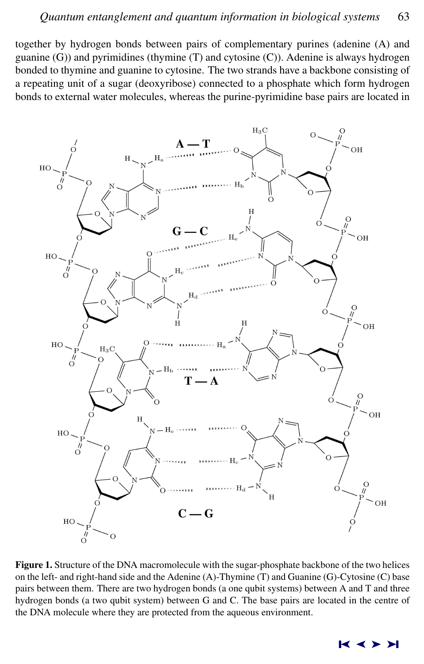<span id="page-2-0"></span>together by hydrogen bonds between pairs of complementary purines (adenine (A) and guanine (G)) and pyrimidines (thymine (T) and cytosine (C)). Adenine is always hydrogen bonded to thymine and guanine to cytosine. The two strands have a backbone consisting of a repeating unit of a sugar (deoxyribose) connected to a phosphate which form hydrogen bonds to external water molecules, whereas the purine-pyrimidine base pairs are located in



Figure 1. Structure of the DNA macromolecule with the sugar-phosphate backbone of the two helices on the left- and right-hand side and the Adenine (A)-Thymine (T) and Guanine (G)-Cytosine (C) base pairs between them. There are two hydrogen bonds (a one qubit systems) between A and T and three hydrogen bonds (a two qubit system) between G and C. The base pairs are located in the centre of the DNA molecule where they are protected from the aqueous environment.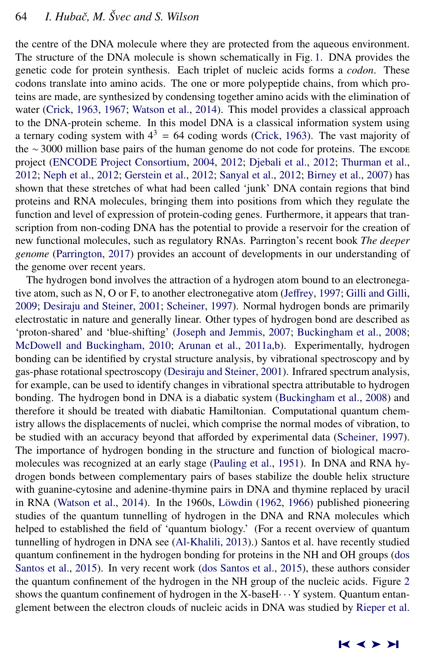the centre of the DNA molecule where they are protected from the aqueous environment. The structure of the DNA molecule is shown schematically in Fig. [1.](#page-2-0) DNA provides the genetic code for protein synthesis. Each triplet of nucleic acids forms a *codon*. These codons translate into amino acids. The one or more polypeptide chains, from which proteins are made, are synthesized by condensing together amino acids with the elimination of water [\(Crick,](#page-18-0) [1963,](#page-18-0) [1967;](#page-18-0) [Watson et al.,](#page-22-0) [2014\)](#page-22-0). This model provides a classical approach to the DNA-protein scheme. In this model DNA is a classical information system using a ternary coding system with  $4^3 = 64$  coding words [\(Crick,](#page-18-0) [1963\)](#page-18-0). The vast majority of the ∼ 3000 million base pairs of the human genome do not code for proteins. The ENCODE project [\(ENCODE Project Consortium,](#page-18-0) [2004,](#page-18-0) [2012;](#page-18-0) [Djebali et al.,](#page-18-0) [2012;](#page-18-0) [Thurman et al.,](#page-22-0) [2012;](#page-22-0) [Neph et al.,](#page-21-0) [2012;](#page-21-0) [Gerstein et al.,](#page-19-0) [2012;](#page-19-0) [Sanyal et al.,](#page-22-0) [2012;](#page-22-0) [Birney et al.,](#page-17-0) [2007\)](#page-17-0) has shown that these stretches of what had been called 'junk' DNA contain regions that bind proteins and RNA molecules, bringing them into positions from which they regulate the function and level of expression of protein-coding genes. Furthermore, it appears that transcription from non-coding DNA has the potential to provide a reservoir for the creation of new functional molecules, such as regulatory RNAs. Parrington's recent book *The deeper genome* [\(Parrington,](#page-21-0) [2017\)](#page-21-0) provides an account of developments in our understanding of the genome over recent years.

The hydrogen bond involves the attraction of a hydrogen atom bound to an electronegative atom, such as N, O or F, to another electronegative atom (Jeff[rey,](#page-20-0) [1997;](#page-20-0) [Gilli and Gilli,](#page-19-0) [2009;](#page-19-0) [Desiraju and Steiner,](#page-18-0) [2001;](#page-18-0) [Scheiner,](#page-22-0) [1997\)](#page-22-0). Normal hydrogen bonds are primarily electrostatic in nature and generally linear. Other types of hydrogen bond are described as 'proton-shared' and 'blue-shifting' [\(Joseph and Jemmis,](#page-20-0) [2007;](#page-20-0) [Buckingham et al.,](#page-17-0) [2008;](#page-17-0) [McDowell and Buckingham,](#page-21-0) [2010;](#page-21-0) [Arunan et al.,](#page-17-0) [2011a,b\)](#page-17-0). Experimentally, hydrogen bonding can be identified by crystal structure analysis, by vibrational spectroscopy and by gas-phase rotational spectroscopy [\(Desiraju and Steiner,](#page-18-0) [2001\)](#page-18-0). Infrared spectrum analysis, for example, can be used to identify changes in vibrational spectra attributable to hydrogen bonding. The hydrogen bond in DNA is a diabatic system [\(Buckingham et al.,](#page-17-0) [2008\)](#page-17-0) and therefore it should be treated with diabatic Hamiltonian. Computational quantum chemistry allows the displacements of nuclei, which comprise the normal modes of vibration, to be studied with an accuracy beyond that afforded by experimental data [\(Scheiner,](#page-22-0) [1997\)](#page-22-0). The importance of hydrogen bonding in the structure and function of biological macromolecules was recognized at an early stage [\(Pauling et al.,](#page-21-0) [1951\)](#page-21-0). In DNA and RNA hydrogen bonds between complementary pairs of bases stabilize the double helix structure with guanine-cytosine and adenine-thymine pairs in DNA and thymine replaced by uracil in RNA [\(Watson et al.,](#page-22-0) [2014\)](#page-22-0). In the 1960s, Löwdin  $(1962, 1966)$  $(1962, 1966)$  $(1962, 1966)$  published pioneering studies of the quantum tunnelling of hydrogen in the DNA and RNA molecules which helped to established the field of 'quantum biology.' (For a recent overview of quantum tunnelling of hydrogen in DNA see [\(Al-Khalili,](#page-17-0) [2013\)](#page-17-0).) Santos et al. have recently studied quantum confinement in the hydrogen bonding for proteins in the NH and OH groups [\(dos](#page-18-0) [Santos et al.,](#page-18-0) [2015\)](#page-18-0). In very recent work [\(dos Santos et al.,](#page-18-0) [2015\)](#page-18-0), these authors consider the quantum confinement of the hydrogen in the NH group of the nucleic acids. Figure [2](#page-4-0) shows the quantum confinement of hydrogen in the X-base $H \cdots Y$  system. Quantum entanglement between the electron clouds of nucleic acids in DNA was studied by [Rieper et al.](#page-22-0)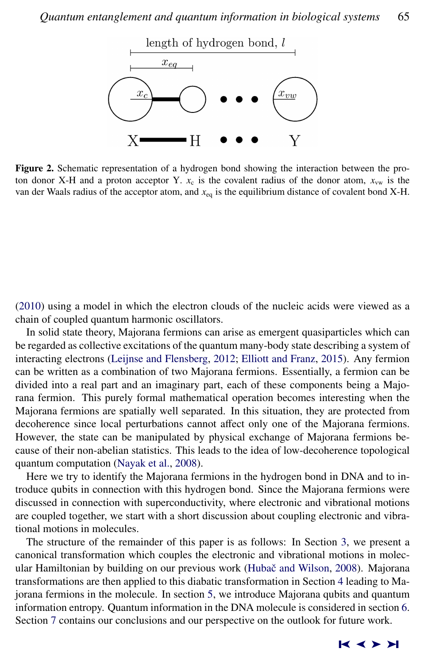<span id="page-4-0"></span>

Figure 2. Schematic representation of a hydrogen bond showing the interaction between the proton donor X-H and a proton acceptor Y.  $x_c$  is the covalent radius of the donor atom,  $x_{vw}$  is the van der Waals radius of the acceptor atom, and *x*eq is the equilibrium distance of covalent bond X-H.

[\(2010\)](#page-22-0) using a model in which the electron clouds of the nucleic acids were viewed as a chain of coupled quantum harmonic oscillators.

In solid state theory, Majorana fermions can arise as emergent quasiparticles which can be regarded as collective excitations of the quantum many-body state describing a system of interacting electrons [\(Leijnse and Flensberg,](#page-20-0) [2012;](#page-20-0) [Elliott and Franz,](#page-18-0) [2015\)](#page-18-0). Any fermion can be written as a combination of two Majorana fermions. Essentially, a fermion can be divided into a real part and an imaginary part, each of these components being a Majorana fermion. This purely formal mathematical operation becomes interesting when the Majorana fermions are spatially well separated. In this situation, they are protected from decoherence since local perturbations cannot affect only one of the Majorana fermions. However, the state can be manipulated by physical exchange of Majorana fermions because of their non-abelian statistics. This leads to the idea of low-decoherence topological quantum computation [\(Nayak et al.,](#page-21-0) [2008\)](#page-21-0).

Here we try to identify the Majorana fermions in the hydrogen bond in DNA and to introduce qubits in connection with this hydrogen bond. Since the Majorana fermions were discussed in connection with superconductivity, where electronic and vibrational motions are coupled together, we start with a short discussion about coupling electronic and vibrational motions in molecules.

The structure of the remainder of this paper is as follows: In Section [3,](#page-5-0) we present a canonical transformation which couples the electronic and vibrational motions in molec-ular Hamiltonian by building on our previous work (Hubač and Wilson, [2008\)](#page-19-0). Majorana transformations are then applied to this diabatic transformation in Section [4](#page-12-0) leading to Majorana fermions in the molecule. In section [5,](#page-13-0) we introduce Majorana qubits and quantum information entropy. Quantum information in the DNA molecule is considered in section [6.](#page-14-0) Section [7](#page-16-0) contains our conclusions and our perspective on the outlook for future work.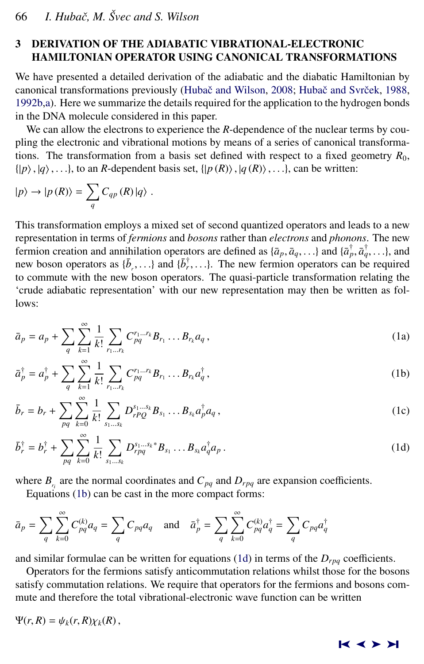# <span id="page-5-0"></span>3 DERIVATION OF THE ADIABATIC VIBRATIONAL-ELECTRONIC HAMILTONIAN OPERATOR USING CANONICAL TRANSFORMATIONS

We have presented a detailed derivation of the adiabatic and the diabatic Hamiltonian by canonical transformations previously (Hubač and Wilson, [2008;](#page-19-0) Hubač and Svrček, [1988,](#page-19-0) [1992b,a\)](#page-19-0). Here we summarize the details required for the application to the hydrogen bonds in the DNA molecule considered in this paper.

We can allow the electrons to experience the *R*-dependence of the nuclear terms by coupling the electronic and vibrational motions by means of a series of canonical transformations. The transformation from a basis set defined with respect to a fixed geometry  $R_0$ ,  $\{|p\rangle, |q\rangle, \ldots\}$ , to an *R*-dependent basis set,  $\{|p(R)\rangle, |q(R)\rangle, \ldots\}$ , can be written:

$$
|p\rangle \rightarrow |p(R)\rangle = \sum_{q} C_{qp}(R) |q\rangle .
$$

This transformation employs a mixed set of second quantized operators and leads to a new representation in terms of *fermions* and *bosons* rather than *electrons* and *phonons*. The new fermion creation and annihilation operators are defined as  $\{\bar{a}_p, \bar{a}_q, \ldots\}$  and  $\{\bar{a}_p^{\dagger}, \bar{a}_q^{\dagger}, \ldots\}$ , and new boson operators as  $I\bar{b}$  and  $I\bar{b}^{\dagger}$  and  $I$  The new fermion operators can be required new boson operators as  $\{\bar{b}_r^{\dagger}, \ldots\}$  and  $\{\bar{b}_r^{\dagger}, \ldots\}$ . The new fermion operators can be required to commute with the new boson operators. The quasi-particle transformation relating the to commute with the new boson operators. The quasi-particle transformation relating the 'crude adiabatic representation' with our new representation may then be written as follows:

$$
\bar{a}_p = a_p + \sum_{q} \sum_{k=1}^{\infty} \frac{1}{k!} \sum_{r_1 \dots r_k} C_{pq}^{r_1 \dots r_k} B_{r_1} \dots B_{r_k} a_q,
$$
\n(1a)

$$
\bar{a}_p^{\dagger} = a_p^{\dagger} + \sum_q \sum_{k=1}^{\infty} \frac{1}{k!} \sum_{r_1...r_k} C_{pq}^{r_1...r_k} B_{r_1} ... B_{r_k} a_q^{\dagger}, \qquad (1b)
$$

$$
\bar{b}_r = b_r + \sum_{pq} \sum_{k=0}^{\infty} \frac{1}{k!} \sum_{s_1...s_k} D_{rPQ}^{s_1...s_k} B_{s_1} \dots B_{s_k} a_p^{\dagger} a_q,
$$
 (1c)

$$
\bar{b}_r^{\dagger} = b_r^{\dagger} + \sum_{pq} \sum_{k=0}^{\infty} \frac{1}{k!} \sum_{s_1...s_k} D_{rpq}^{s_1...s_k *} B_{s_1} ... B_{s_k} a_q^{\dagger} a_p.
$$
 (1d)

where  $B_{r_i}$  are the normal coordinates and  $C_{pq}$  and  $D_{rpq}$  are expansion coefficients.

Equations (1b) can be cast in the more compact forms:

$$
\bar{a}_p = \sum_{q} \sum_{k=0}^{\infty} C_{pq}^{(k)} a_q = \sum_{q} C_{pq} a_q
$$
 and  $\bar{a}_p^{\dagger} = \sum_{q} \sum_{k=0}^{\infty} C_{pq}^{(k)} a_q^{\dagger} = \sum_{q} C_{pq} a_q^{\dagger}$ 

and similar formulae can be written for equations (1d) in terms of the  $D_{rpq}$  coefficients.

Operators for the fermions satisfy anticommutation relations whilst those for the bosons satisfy commutation relations. We require that operators for the fermions and bosons commute and therefore the total vibrational-electronic wave function can be written

$$
\Psi(r,R)=\psi_k(r,R)\chi_k(R)\,,
$$

$$
\mathbf{k}\prec\mathbf{H}
$$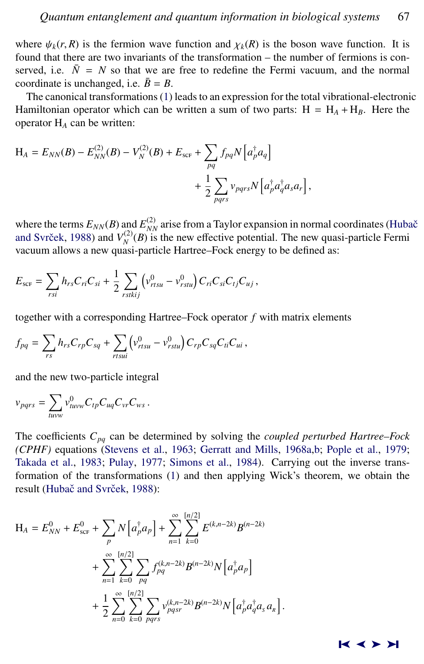where  $\psi_k(r, R)$  is the fermion wave function and  $\chi_k(R)$  is the boson wave function. It is found that there are two invariants of the transformation – the number of fermions is conserved, i.e.  $\overline{N} = N$  so that we are free to redefine the Fermi vacuum, and the normal coordinate is unchanged, i.e.  $\bar{B} = B$ .

The canonical transformations [\(1\)](#page-5-0) leads to an expression for the total vibrational-electronic Hamiltonian operator which can be written a sum of two parts:  $H = H_A + H_B$ . Here the operator H*<sup>A</sup>* can be written:

$$
H_A = E_{NN}(B) - E_{NN}^{(2)}(B) - V_N^{(2)}(B) + E_{\text{scr}} + \sum_{pq} f_{pq} N \left[ a_p^{\dagger} a_q \right] + \frac{1}{2} \sum_{pqrs} v_{pqrs} N \left[ a_p^{\dagger} a_q^{\dagger} a_s a_r \right],
$$

where the terms  $E_{NN}(B)$  and  $E_{NN}^{(2)}$  arise from a Taylor expansion in normal coordinates [\(Huba](#page-19-0)č and Svrček, [1988\)](#page-19-0) and  $V_N^{(2)}(B)$  is the new effective potential. The new quasi-particle Fermi vacuum allows a new quasi-particle Hartree–Fock energy to be defined as:

$$
E_{\rm SCF} = \sum_{rsi} h_{rs} C_{ri} C_{si} + \frac{1}{2} \sum_{rstkij} \left( v_{rtsu}^0 - v_{rstu}^0 \right) C_{ri} C_{si} C_{tj} C_{uj},
$$

together with a corresponding Hartree–Fock operator *f* with matrix elements

$$
f_{pq} = \sum_{rs} h_{rs} C_{rp} C_{sq} + \sum_{rtsui} \left( v_{rtsu}^0 - v_{rstu}^0 \right) C_{rp} C_{sq} C_{ui} ,
$$

and the new two-particle integral

$$
v_{pqrs} = \sum_{tuvw} v_{tuvw}^0 C_{tp} C_{uq} C_{vr} C_{ws}.
$$

The coefficients *Cpq* can be determined by solving the *coupled perturbed Hartree–Fock (CPHF)* equations [\(Stevens et al.,](#page-22-0) [1963;](#page-22-0) [Gerratt and Mills,](#page-19-0) [1968a,b;](#page-19-0) [Pople et al.,](#page-22-0) [1979;](#page-22-0) [Takada et al.,](#page-22-0) [1983;](#page-22-0) [Pulay,](#page-22-0) [1977;](#page-22-0) [Simons et al.,](#page-22-0) [1984\)](#page-22-0). Carrying out the inverse transformation of the transformations [\(1\)](#page-5-0) and then applying Wick's theorem, we obtain the result (Hubač and Svrček, [1988\)](#page-19-0):

$$
H_{A} = E_{NN}^{0} + E_{\text{scr}}^{0} + \sum_{p} N \left[ a_{p}^{\dagger} a_{p} \right] + \sum_{n=1}^{\infty} \sum_{k=0}^{\lfloor n/2 \rfloor} E^{(k, n-2k)} B^{(n-2k)}
$$
  
+ 
$$
\sum_{n=1}^{\infty} \sum_{k=0}^{\lfloor n/2 \rfloor} \sum_{pq} f_{pq}^{(k, n-2k)} B^{(n-2k)} N \left[ a_{p}^{\dagger} a_{p} \right]
$$
  
+ 
$$
\frac{1}{2} \sum_{n=0}^{\infty} \sum_{k=0}^{\lfloor n/2 \rfloor} \sum_{pqrs} v_{pqsr}^{(k, n-2k)} B^{(n-2k)} N \left[ a_{p}^{\dagger} a_{q}^{\dagger} a_{s} a_{s} \right]
$$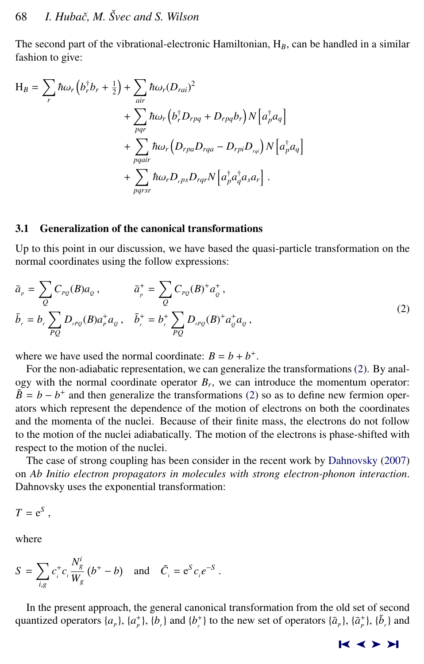The second part of the vibrational-electronic Hamiltonian,  $H_B$ , can be handled in a similar fashion to give:

$$
H_B = \sum_r \hbar \omega_r (b_r^{\dagger} b_r + \frac{1}{2}) + \sum_{air} \hbar \omega_r (D_{rai})^2
$$
  
+ 
$$
\sum_{pqr} \hbar \omega_r (b_r^{\dagger} D_{rpq} + D_{rpq} b_r) N [a_p^{\dagger} a_q]
$$
  
+ 
$$
\sum_{pqair} \hbar \omega_r (D_{rpa} D_{rqa} - D_{rpi} D_{rqi}) N [a_p^{\dagger} a_q]
$$
  
+ 
$$
\sum_{pqrsr} \hbar \omega_r D_{rps} D_{rqr} N [a_p^{\dagger} a_q^{\dagger} a_s a_r].
$$

# 3.1 Generalization of the canonical transformations

Up to this point in our discussion, we have based the quasi-particle transformation on the normal coordinates using the follow expressions:

$$
\bar{a}_{p} = \sum_{Q} C_{p_{Q}}(B) a_{Q}, \qquad \bar{a}_{p}^{+} = \sum_{Q} C_{p_{Q}}(B)^{+} a_{Q}^{+}, \bar{b}_{r} = b_{r} \sum_{PQ} D_{r p_{Q}}(B) a_{p}^{+} a_{Q}, \quad \bar{b}_{r}^{+} = b_{r}^{+} \sum_{PQ} D_{r p_{Q}}(B)^{+} a_{Q}^{+} a_{Q}^{+},
$$
\n(2)

where we have used the normal coordinate:  $B = b + b^{+}$ .

For the non-adiabatic representation, we can generalize the transformations (2). By analogy with the normal coordinate operator  $B_r$ , we can introduce the momentum operator:  $\tilde{B}$  = *b* − *b*<sup>+</sup> and then generalize the transformations (2) so as to define new fermion operators which represent the dependence of the motion of electrons on both the coordinates and the momenta of the nuclei. Because of their finite mass, the electrons do not follow to the motion of the nuclei adiabatically. The motion of the electrons is phase-shifted with respect to the motion of the nuclei.

The case of strong coupling has been consider in the recent work by [Dahnovsky](#page-18-0) [\(2007\)](#page-18-0) on *Ab Initio electron propagators in molecules with strong electron-phonon interaction*. Dahnovsky uses the exponential transformation:

$$
T = e^S,
$$

where

$$
S = \sum_{i,g} c_i^+ c_i \frac{N_g^i}{W_g} (b^+ - b) \text{ and } \bar{C}_i = e^S c_i e^{-S}.
$$

In the present approach, the general canonical transformation from the old set of second quantized operators  $\{a_p\}$ ,  $\{a_p^+\}$ ,  $\{b_r\}$  and  $\{b_r^+\}$  to the new set of operators  $\{\bar{a}_p\}$ ,  $\{\bar{a}_p^+\}$ ,  $\{\bar{b}_r\}$  and

 $R \leq R$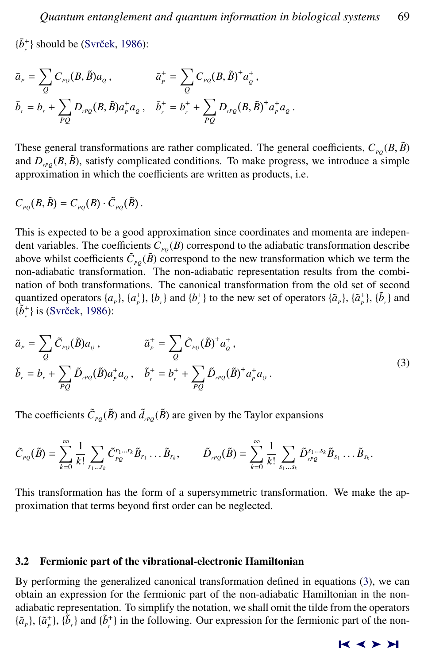$\{\bar{b}_r^*\}$  should be (Svrček, [1986\)](#page-22-0):

$$
\bar{a}_{P} = \sum_{Q} C_{PQ}(B, \tilde{B}) a_{Q}, \qquad \bar{a}_{P}^{+} = \sum_{Q} C_{PQ}(B, \tilde{B})^{+} a_{Q}^{+}, \bar{b}_{r} = b_{r} + \sum_{PQ} D_{rPQ}(B, \tilde{B}) a_{P}^{+} a_{Q}, \quad \bar{b}_{r}^{+} = b_{r}^{+} + \sum_{PQ} D_{rPQ}(B, \tilde{B})^{+} a_{P}^{+} a_{Q}.
$$

These general transformations are rather complicated. The general coefficients,  $C_{pQ}(B, \tilde{B})$ and  $D_{\text{rPO}}(B, \tilde{B})$ , satisfy complicated conditions. To make progress, we introduce a simple approximation in which the coefficients are written as products, i.e.

$$
C_{PQ}(B,\tilde{B})=C_{PQ}(B)\cdot \tilde{C}_{PQ}(\tilde{B}).
$$

This is expected to be a good approximation since coordinates and momenta are independent variables. The coefficients  $C_{p_0}(B)$  correspond to the adiabatic transformation describe above whilst coefficients  $\tilde{C}_{p_Q}(\tilde{B})$  correspond to the new transformation which we term the non-adiabatic transformation. The non-adiabatic representation results from the combination of both transformations. The canonical transformation from the old set of second quantized operators  $\{a_p\}$ ,  $\{a_p^+\}$ ,  $\{b_r\}$  and  $\{b_r^+\}$  to the new set of operators  $\{\tilde{a}_p\}$ ,  $\{\tilde{a}_p^+\}$ ,  $\{\tilde{b}_r\}$  and  $\{\tilde{b}^*_r\}$  is (Svrček, [1986\)](#page-22-0):

$$
\tilde{a}_{P} = \sum_{Q} \tilde{C}_{PQ}(\tilde{B}) a_{Q}, \qquad \tilde{a}_{P}^{+} = \sum_{Q} \tilde{C}_{PQ}(\tilde{B})^{+} a_{Q}^{+}, \n\tilde{b}_{r} = b_{r} + \sum_{PQ} \tilde{D}_{rPQ}(\tilde{B}) a_{P}^{+} a_{Q}, \quad \tilde{b}_{r}^{+} = b_{r}^{+} + \sum_{PQ} \tilde{D}_{rPQ}(\tilde{B})^{+} a_{P}^{+} a_{Q}. \tag{3}
$$

The coefficients  $\tilde{C}_{PQ}(\tilde{B})$  and  $\tilde{d}_{PQ}(\tilde{B})$  are given by the Taylor expansions

$$
\tilde{C}_{PQ}(\tilde{B}) = \sum_{k=0}^{\infty} \frac{1}{k!} \sum_{r_1 \dots r_k} \tilde{C}_{PQ}^{r_1 \dots r_k} \tilde{B}_{r_1} \dots \tilde{B}_{r_k}, \qquad \tilde{D}_{rPQ}(\tilde{B}) = \sum_{k=0}^{\infty} \frac{1}{k!} \sum_{s_1 \dots s_k} \tilde{D}_{rPQ}^{s_1 \dots s_k} \tilde{B}_{s_1} \dots \tilde{B}_{s_k}
$$

This transformation has the form of a supersymmetric transformation. We make the approximation that terms beyond first order can be neglected.

#### 3.2 Fermionic part of the vibrational-electronic Hamiltonian

By performing the generalized canonical transformation defined in equations (3), we can obtain an expression for the fermionic part of the non-adiabatic Hamiltonian in the nonadiabatic representation. To simplify the notation, we shall omit the tilde from the operators  $\{\tilde{a}_r\}$ ,  $\{\tilde{a}_r^+\}$ ,  $\{\tilde{b}_r\}$  and  $\{\tilde{b}_r^+\}$  in the following. Our expression for the fermionic part of the non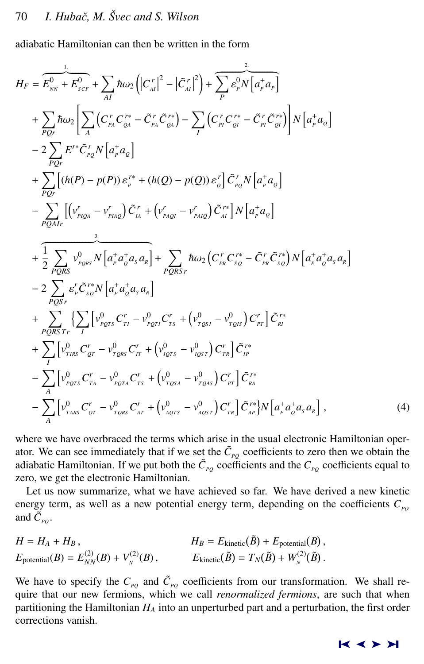<span id="page-9-0"></span>adiabatic Hamiltonian can then be written in the form

$$
H_{F} = \overbrace{E_{NN}^{0} + E_{SCF}^{0}} + \sum_{AI} \hbar \omega_{2} \left( |C_{AI}^{r}|^{2} - |\tilde{C}_{AI}^{r}|^{2} \right) + \sum_{P} \overbrace{\varepsilon_{P}^{0}} \overbrace{N} \left[ a_{P}^{+} a_{P} \right]
$$
  
+ 
$$
\sum_{PQr} \hbar \omega_{2} \left[ \sum_{A} \left( C_{IA}^{r} C_{CA}^{r*} - \tilde{C}_{IA}^{r} \tilde{C}_{CA}^{r*} \right) - \sum_{I} \left( C_{II}^{r} C_{CI}^{r*} - \tilde{C}_{IA}^{r} \tilde{C}_{CI}^{r*} \right) \right] N \left[ a_{P}^{+} a_{Q} \right]
$$
  
- 
$$
2 \sum_{PQr} E^{r*} \tilde{C}_{rQ}^{r} N \left[ a_{P}^{+} a_{Q} \right]
$$
  
+ 
$$
\sum_{PQr} \left[ (h(P) - p(P)) \varepsilon_{P}^{r*} + (h(Q) - p(Q)) \varepsilon_{Q}^{r} \right] \tilde{C}_{rQ}^{r} N \left[ a_{P}^{+} a_{Q} \right]
$$
  
- 
$$
\sum_{PQAIr} \left[ \left( v_{P(QA)}^{r} - v_{PMQ}^{r} \right) \tilde{C}_{IA}^{r*} + \left( v_{PAQI}^{r} - v_{PMQ}^{r} \right) \tilde{C}_{AI}^{r*} \right] N \left[ a_{P}^{+} a_{Q} \right]
$$
  
+ 
$$
\frac{1}{2} \sum_{PQRS} v_{PQRS}^{0} N \left[ a_{P}^{+} a_{Q}^{+} a_{S} a_{R} \right] + \sum_{PQRSr} \hbar \omega_{2} \left( C_{PR}^{r} C_{SQ}^{r*} - \tilde{C}_{PR}^{r} \tilde{C}_{SQ}^{r*} \right) N \left[ a_{P}^{+} a_{Q}^{+} a_{S} a_{R} \right]
$$
  
- 
$$
2 \sum_{PQSSr} \varepsilon_{P}^{r} \tilde{C}_{Q}^{r*} N \left[ a_{P}^{+} a_{Q}^{+} a_{S} a_{R} \right]
$$
  
+ 
$$
\sum_{PQRS} \left
$$

where we have overbraced the terms which arise in the usual electronic Hamiltonian operator. We can see immediately that if we set the  $\tilde{C}_{PQ}$  coefficients to zero then we obtain the adiabatic Hamiltonian. If we put both the  $\tilde{C}_{p_Q}$  coefficients and the  $C_{p_Q}$  coefficients equal to zero, we get the electronic Hamiltonian.

Let us now summarize, what we have achieved so far. We have derived a new kinetic energy term, as well as a new potential energy term, depending on the coefficients  $C_{po}$ and  $\tilde{C}_{PQ}$ .

$$
H = H_A + H_B,
$$
  
\n
$$
H_B = E_{\text{kinetic}}(\tilde{B}) + E_{\text{potential}}(B),
$$
  
\n
$$
E_{\text{potential}}(B) = E_{NN}^{(2)}(B) + V_N^{(2)}(B),
$$
  
\n
$$
E_{\text{kinetic}}(\tilde{B}) = T_N(\tilde{B}) + W_N^{(2)}(\tilde{B}).
$$

We have to specify the  $C_{PQ}$  and  $\tilde{C}_{PQ}$  coefficients from our transformation. We shall require that our new fermions, which we call *renormalized fermions*, are such that when partitioning the Hamiltonian *H<sup>A</sup>* into an unperturbed part and a perturbation, the first order corrections vanish.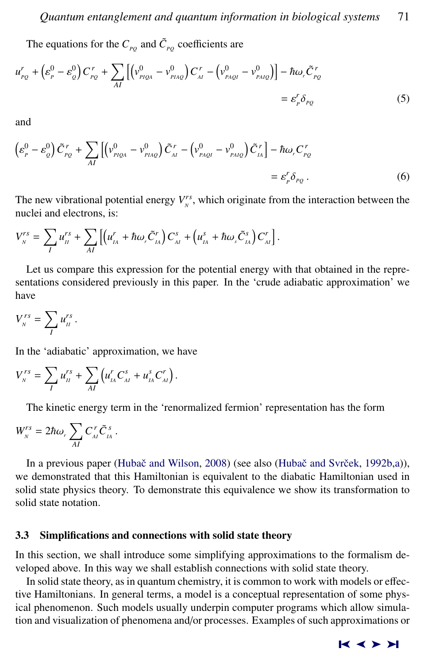<span id="page-10-0"></span>The equations for the  $C_{pq}$  and  $\tilde{C}_{pq}$  coefficients are

$$
u_{PQ}^r + \left(\varepsilon_P^0 - \varepsilon_Q^0\right) C_{PQ}^r + \sum_{AI} \left[ \left(v_{PIQA}^0 - v_{PIAQ}^0\right) C_{AI}^r - \left(v_{PAQI}^0 - v_{PAIQ}^0\right) \right] - \hbar \omega_r \tilde{C}_{PQ}^r
$$
  
=  $\varepsilon_p^r \delta_{PQ}$  (5)

and

$$
\left(\varepsilon_{P}^{0} - \varepsilon_{Q}^{0}\right)\tilde{C}_{PQ}^{r} + \sum_{AI}\left[\left(v_{PIQA}^{0} - v_{PIAQ}^{0}\right)\tilde{C}_{AI}^{r} - \left(v_{PAQI}^{0} - v_{PAIQ}^{0}\right)\tilde{C}_{IA}^{r}\right] - \hbar\omega_{r}C_{PQ}^{r}
$$
\n
$$
= \varepsilon_{P}^{r}\delta_{PQ}.
$$
\n(6)

The new vibrational potential energy  $V_N^{rs}$ , which originate from the interaction between the nuclei and electrons, is:

$$
V_N^{rs} = \sum_I u_{II}^{rs} + \sum_{AI} \left[ \left( u_{IA}^r + \hbar \omega_r \tilde{C}_{IA}^r \right) C_{AI}^s + \left( u_{IA}^s + \hbar \omega_s \tilde{C}_{IA}^s \right) C_{AI}^r \right].
$$

Let us compare this expression for the potential energy with that obtained in the representations considered previously in this paper. In the 'crude adiabatic approximation' we have

$$
V_{N}^{rs}=\sum_{I}u_{II}^{rs}.
$$

In the 'adiabatic' approximation, we have

$$
V_{N}^{rs} = \sum_{I} u_{II}^{rs} + \sum_{AI} \left( u_{IA}^{r} C_{AI}^{s} + u_{IA}^{s} C_{AI}^{r} \right).
$$

The kinetic energy term in the 'renormalized fermion' representation has the form

$$
W_{N}^{rs}=2\hbar\omega_{r}\sum_{AI}C_{AI}^{r}\tilde{C}_{IA}^{s}.
$$

In a previous paper (Hubač and Wilson, [2008\)](#page-19-0) (see also (Hubač and Svrček, [1992b,a\)](#page-19-0)), we demonstrated that this Hamiltonian is equivalent to the diabatic Hamiltonian used in solid state physics theory. To demonstrate this equivalence we show its transformation to solid state notation.

#### 3.3 Simplifications and connections with solid state theory

In this section, we shall introduce some simplifying approximations to the formalism developed above. In this way we shall establish connections with solid state theory.

In solid state theory, as in quantum chemistry, it is common to work with models or effective Hamiltonians. In general terms, a model is a conceptual representation of some physical phenomenon. Such models usually underpin computer programs which allow simulation and visualization of phenomena and/or processes. Examples of such approximations or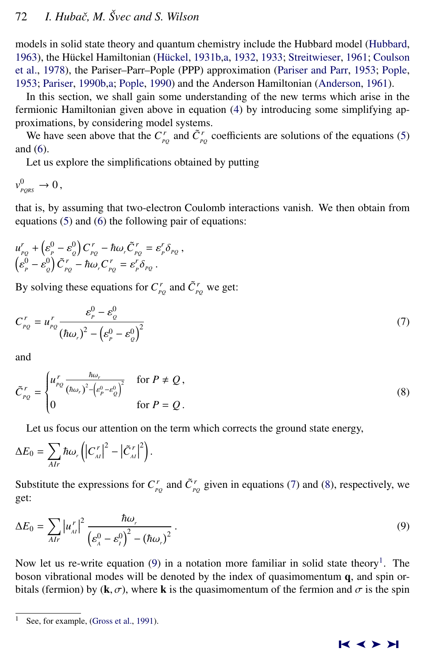# <span id="page-11-0"></span>72 *I. Hubaˇc, M. Svec and S. Wilson ˇ*

models in solid state theory and quantum chemistry include the Hubbard model [\(Hubbard,](#page-20-0) [1963\)](#page-20-0), the Hückel Hamiltonian (Hückel, [1931b,a,](#page-20-0) [1932,](#page-20-0) [1933;](#page-20-0) [Streitwieser,](#page-22-0) [1961;](#page-22-0) [Coulson](#page-17-0) [et al.,](#page-17-0) [1978\)](#page-17-0), the Pariser–Parr–Pople (PPP) approximation [\(Pariser and Parr,](#page-21-0) [1953;](#page-21-0) [Pople,](#page-21-0) [1953;](#page-21-0) [Pariser,](#page-21-0) [1990b,a;](#page-21-0) [Pople,](#page-21-0) [1990\)](#page-21-0) and the Anderson Hamiltonian [\(Anderson,](#page-17-0) [1961\)](#page-17-0).

In this section, we shall gain some understanding of the new terms which arise in the fermionic Hamiltonian given above in equation [\(4\)](#page-9-0) by introducing some simplifying approximations, by considering model systems.

We have seen above that the  $C_{pQ}^r$  and  $\tilde{C}_{pQ}^r$  coefficients are solutions of the equations [\(5\)](#page-10-0) and [\(6\)](#page-10-0).

Let us explore the simplifications obtained by putting

$$
v_{_{PQRS}}^0\to 0\,,
$$

that is, by assuming that two-electron Coulomb interactions vanish. We then obtain from equations [\(5\)](#page-10-0) and [\(6\)](#page-10-0) the following pair of equations:

$$
u_{p_Q}^r + \left(\varepsilon_p^0 - \varepsilon_q^0\right) C_{p_Q}^r - \hbar \omega_r \tilde{C}_{p_Q}^r = \varepsilon_p^r \delta_{p_Q} ,
$$
  

$$
\left(\varepsilon_p^0 - \varepsilon_q^0\right) \tilde{C}_{p_Q}^r - \hbar \omega_r C_{p_Q}^r = \varepsilon_p^r \delta_{p_Q} .
$$

By solving these equations for  $C_{PQ}^r$  and  $\tilde{C}_{PQ}^r$  we get:

$$
C_{PQ}^r = u_{PQ}^r \frac{\varepsilon_p^0 - \varepsilon_Q^0}{(\hbar \omega_r)^2 - (\varepsilon_p^0 - \varepsilon_Q^0)^2}
$$
\n<sup>(7)</sup>

and

$$
\tilde{C}_{PQ}^r = \begin{cases} u_{PQ}^r \frac{\hbar \omega_r}{(\hbar \omega_r)^2 - (e_P^0 - e_Q^0)^2} & \text{for } P \neq Q, \\ 0 & \text{for } P = Q. \end{cases}
$$
\n(8)

Let us focus our attention on the term which corrects the ground state energy,

$$
\Delta E_0 = \sum_{AIr} \hbar \omega_r \left( \left| C_{\lambda l}^r \right|^2 - \left| \tilde{C}_{\lambda l}^r \right|^2 \right).
$$

Substitute the expressions for  $C_{pq}^r$  and  $\tilde{C}_{pq}^r$  given in equations (7) and (8), respectively, we get:

$$
\Delta E_0 = \sum_{AIr} \left| u''_{\scriptscriptstyle{AI}} \right|^2 \frac{\hbar \omega_r}{\left( \varepsilon_{\scriptscriptstyle{A}}^0 - \varepsilon_r^0 \right)^2 - \left( \hbar \omega_r \right)^2} \,. \tag{9}
$$

Now let us re-write equation (9) in a notation more familiar in solid state theory<sup>1</sup>. The boson vibrational modes will be denoted by the index of quasimomentum q, and spin orbitals (fermion) by ( $\mathbf{k}, \sigma$ ), where **k** is the quasimomentum of the fermion and  $\sigma$  is the spin

See, for example, [\(Gross et al.,](#page-19-0) [1991\)](#page-19-0).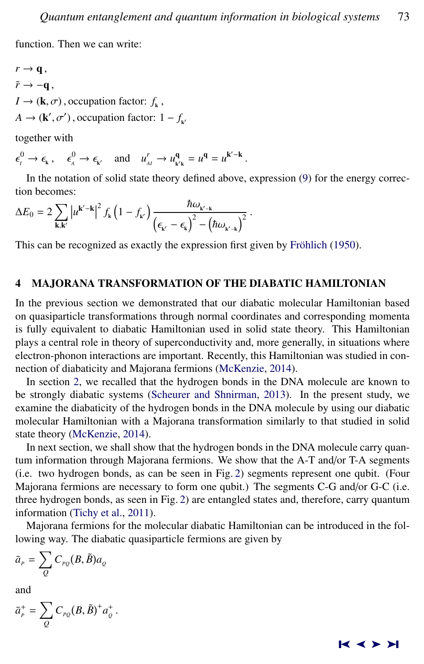<span id="page-12-0"></span>function. Then we can write:

 $r \rightarrow \mathbf{q}$ ,  $\tilde{r} \rightarrow -\mathbf{q}$ ,  $I \rightarrow (\mathbf{k}, \sigma)$ , occupation factor:  $f_{\mathbf{k}}$  $A \rightarrow (\mathbf{k}', \sigma')$ , occupation factor:  $1 - f_{\mathbf{k}'}$ 

together with

 $\epsilon_{\mu}^{0} \to \epsilon_{\kappa}^{0} \to \epsilon_{\kappa'}$  and  $u_{\mu}^{r} \to u_{\kappa' \kappa}^{q} = u^{q} = u^{k'-k}$ 

In the notation of solid state theory defined above, expression [\(9\)](#page-11-0) for the energy correction becomes:

$$
\Delta E_0 = 2 \sum_{\mathbf{k},\mathbf{k}'} \left| u^{\mathbf{k}'-\mathbf{k}} \right|^2 f_{\mathbf{k}} \left( 1 - f_{\mathbf{k}'} \right) \frac{\hbar \omega_{\mathbf{k}'-\mathbf{k}}}{\left( \epsilon_{\mathbf{k}'} - \epsilon_{\mathbf{k}} \right)^2 - \left( \hbar \omega_{\mathbf{k}'-\mathbf{k}} \right)^2}.
$$

This can be recognized as exactly the expression first given by Fröhlich [\(1950\)](#page-19-0).

#### 4 MAJORANA TRANSFORMATION OF THE DIABATIC HAMILTONIAN

In the previous section we demonstrated that our diabatic molecular Hamiltonian based on quasiparticle transformations through normal coordinates and corresponding momenta is fully equivalent to diabatic Hamiltonian used in solid state theory. This Hamiltonian plays a central role in theory of superconductivity and, more generally, in situations where electron-phonon interactions are important. Recently, this Hamiltonian was studied in connection of diabaticity and Majorana fermions [\(McKenzie,](#page-21-0) [2014\)](#page-21-0).

In section [2,](#page-1-0) we recalled that the hydrogen bonds in the DNA molecule are known to be strongly diabatic systems [\(Scheurer and Shnirman,](#page-22-0) [2013\)](#page-22-0). In the present study, we examine the diabaticity of the hydrogen bonds in the DNA molecule by using our diabatic molecular Hamiltonian with a Majorana transformation similarly to that studied in solid state theory [\(McKenzie,](#page-21-0) [2014\)](#page-21-0).

In next section, we shall show that the hydrogen bonds in the DNA molecule carry quantum information through Majorana fermions. We show that the A-T and/or T-A segments (i.e. two hydrogen bonds, as can be seen in Fig. [2\)](#page-4-0) segments represent one qubit. (Four Majorana fermions are necessary to form one qubit.) The segments C-G and/or G-C (i.e. three hydrogen bonds, as seen in Fig. [2\)](#page-4-0) are entangled states and, therefore, carry quantum information [\(Tichy et al.,](#page-22-0) [2011\)](#page-22-0).

Majorana fermions for the molecular diabatic Hamiltonian can be introduced in the following way. The diabatic quasiparticle fermions are given by

$$
\bar{a}_{{}_P}=\sum_Q C_{{}_{PQ}}(B,\tilde{B})a_{{}_Q}
$$

and

$$
\bar{a}_P^+ = \sum_Q C_{PQ}(B,\tilde{B})^+ a_Q^+.
$$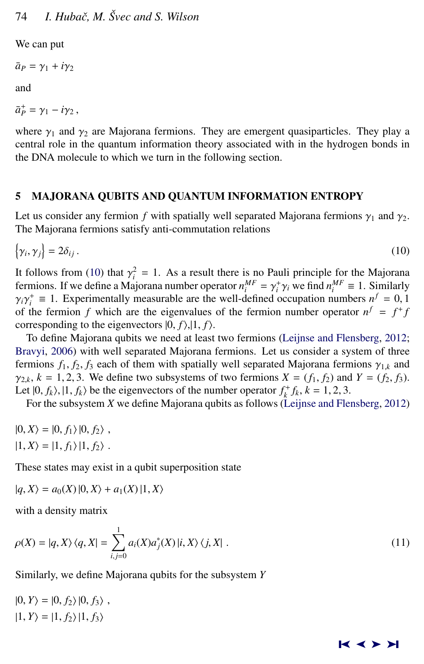<span id="page-13-0"></span>We can put

 $\bar{a}_P = \gamma_1 + i\gamma_2$ 

and

 $\bar{a}_P^+ = \gamma_1 - i \gamma_2$ ,

where  $\gamma_1$  and  $\gamma_2$  are Majorana fermions. They are emergent quasiparticles. They play a central role in the quantum information theory associated with in the hydrogen bonds in the DNA molecule to which we turn in the following section.

# 5 MAJORANA QUBITS AND QUANTUM INFORMATION ENTROPY

Let us consider any fermion *f* with spatially well separated Majorana fermions  $\gamma_1$  and  $\gamma_2$ . The Majorana fermions satisfy anti-commutation relations

$$
\{\gamma_i, \gamma_j\} = 2\delta_{ij} \,. \tag{10}
$$

It follows from (10) that  $\gamma_i^2 = 1$ . As a result there is no Pauli principle for the Majorana<br>fermions. If we define a Majorana number operator  $n^{MF} = \gamma^+ \gamma$ , we find  $n^{MF} = 1$ . Similarly fermions. If we define a Majorana number operator  $n_i^{MF} = \gamma_i^+ \gamma_i$  we find  $n_i^{MF} \equiv 1$ . Similarly  $\gamma_i \gamma_i^+ = 1$ . Experimentally measurable are the well-defined occupation numbers  $n_f^f = 0$ .  $\gamma_i \gamma_i = 1$ . Experimentally measurable are the well-defined occupation numbers  $n^f = 0$ , if the fermion *f* which are the eigenvalues of the fermion number operator  $n^f = f^+ f$ *i*  $\alpha$ <sup>*i*</sup> ≡ 1. Experimentally measurable are the well-defined occupation numbers  $n^f = 0, 1$ <br> *i*he fermion *f* which are the eigenvalues of the fermion number operator  $n^f = f^f$ corresponding to the eigenvectors  $|0, f\rangle, |1, f\rangle$ .

To define Majorana qubits we need at least two fermions [\(Leijnse and Flensberg,](#page-20-0) [2012;](#page-20-0) [Bravyi,](#page-17-0) [2006\)](#page-17-0) with well separated Majorana fermions. Let us consider a system of three fermions  $f_1, f_2, f_3$  each of them with spatially well separated Majorana fermions  $\gamma_{1,k}$  and  $\gamma_{2,k}$ ,  $k = 1, 2, 3$ . We define two subsystems of two fermions  $X = (f_1, f_2)$  and  $Y = (f_2, f_3)$ . Let  $|0, f_k\rangle, |1, f_k\rangle$  be the eigenvectors of the number operator  $f_k^+ f_k, k = 1, 2, 3$ .<br>For the subsystem *Y* we define Majorana qubits as follows (*I* eijnse and Fle

For the subsystem *X* we define Majorana qubits as follows [\(Leijnse and Flensberg,](#page-20-0) [2012\)](#page-20-0)

 $|0, X\rangle = |0, f_1\rangle |0, f_2\rangle$ ,  $|1, X\rangle = |1, f_1\rangle |1, f_2\rangle$ .

These states may exist in a qubit superposition state

$$
|q, X\rangle = a_0(X) |0, X\rangle + a_1(X) |1, X\rangle
$$

with a density matrix

$$
\rho(X) = |q, X\rangle \langle q, X| = \sum_{i,j=0}^{1} a_i(X)a_j^*(X) |i, X\rangle \langle j, X| .
$$
\n
$$
(11)
$$

Similarly, we define Majorana qubits for the subsystem *Y*

$$
|0, Y\rangle = |0, f_2\rangle |0, f_3\rangle ,|1, Y\rangle = |1, f_2\rangle |1, f_3\rangle
$$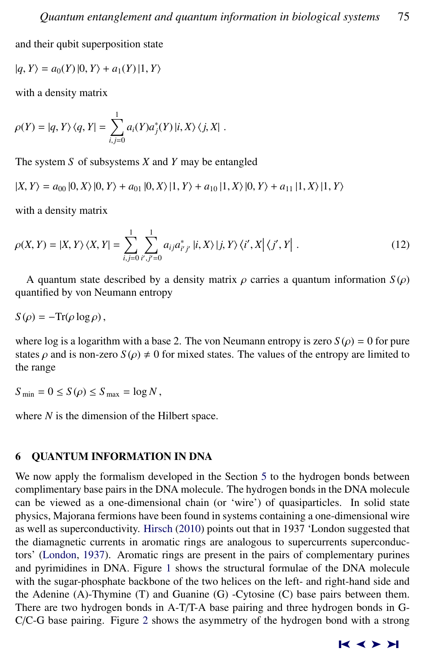<span id="page-14-0"></span>and their qubit superposition state

$$
|q, Y\rangle = a_0(Y) |0, Y\rangle + a_1(Y) |1, Y\rangle
$$

with a density matrix

$$
\rho(Y) = |q, Y\rangle \langle q, Y| = \sum_{i,j=0}^{1} a_i(Y) a_j^*(Y) |i, X\rangle \langle j, X|.
$$

The system *S* of subsystems *X* and *Y* may be entangled

$$
|X,Y\rangle = a_{00} |0,X\rangle |0,Y\rangle + a_{01} |0,X\rangle |1,Y\rangle + a_{10} |1,X\rangle |0,Y\rangle + a_{11} |1,X\rangle |1,Y\rangle
$$

with a density matrix

$$
\rho(X,Y) = |X,Y\rangle\langle X,Y| = \sum_{i,j=0}^{1} \sum_{i',j'=0}^{1} a_{ij} a_{i'j'}^{*} |i,X\rangle |j,Y\rangle\langle i',X| \langle j',Y|.
$$
 (12)

A quantum state described by a density matrix  $\rho$  carries a quantum information  $S(\rho)$ quantified by von Neumann entropy

$$
S(\rho) = -\text{Tr}(\rho \log \rho),
$$

where log is a logarithm with a base 2. The von Neumann entropy is zero  $S(\rho) = 0$  for pure states  $\rho$  and is non-zero  $S(\rho) \neq 0$  for mixed states. The values of the entropy are limited to the range

 $S_{\text{min}} = 0 \le S(\rho) \le S_{\text{max}} = \log N$ ,

where *N* is the dimension of the Hilbert space.

# 6 QUANTUM INFORMATION IN DNA

We now apply the formalism developed in the Section [5](#page-13-0) to the hydrogen bonds between complimentary base pairs in the DNA molecule. The hydrogen bonds in the DNA molecule can be viewed as a one-dimensional chain (or 'wire') of quasiparticles. In solid state physics, Majorana fermions have been found in systems containing a one-dimensional wire as well as superconductivity. [Hirsch](#page-19-0) [\(2010\)](#page-19-0) points out that in 1937 'London suggested that the diamagnetic currents in aromatic rings are analogous to supercurrents superconductors' [\(London,](#page-20-0) [1937\)](#page-20-0). Aromatic rings are present in the pairs of complementary purines and pyrimidines in DNA. Figure [1](#page-2-0) shows the structural formulae of the DNA molecule with the sugar-phosphate backbone of the two helices on the left- and right-hand side and the Adenine (A)-Thymine (T) and Guanine (G) -Cytosine (C) base pairs between them. There are two hydrogen bonds in A-T/T-A base pairing and three hydrogen bonds in G-C/C-G base pairing. Figure [2](#page-4-0) shows the asymmetry of the hydrogen bond with a strong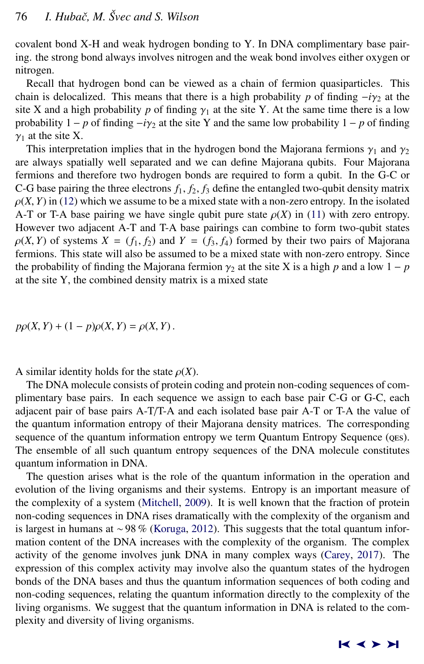covalent bond X-H and weak hydrogen bonding to Y. In DNA complimentary base pairing. the strong bond always involves nitrogen and the weak bond involves either oxygen or nitrogen.

Recall that hydrogen bond can be viewed as a chain of fermion quasiparticles. This chain is delocalized. This means that there is a high probability *p* of finding  $-i\gamma$ <sub>2</sub> at the site X and a high probability  $p$  of finding  $\gamma_1$  at the site Y. At the same time there is a low probability  $1 - p$  of finding  $-i\gamma_2$  at the site Y and the same low probability  $1 - p$  of finding  $\gamma_1$  at the site X.

This interpretation implies that in the hydrogen bond the Majorana fermions  $\gamma_1$  and  $\gamma_2$ are always spatially well separated and we can define Majorana qubits. Four Majorana fermions and therefore two hydrogen bonds are required to form a qubit. In the G-C or C-G base pairing the three electrons  $f_1$ ,  $f_2$ ,  $f_3$  define the entangled two-qubit density matrix  $\rho(X, Y)$  in [\(12\)](#page-14-0) which we assume to be a mixed state with a non-zero entropy. In the isolated A-T or T-A base pairing we have single qubit pure state  $\rho(X)$  in [\(11\)](#page-13-0) with zero entropy. However two adjacent A-T and T-A base pairings can combine to form two-qubit states  $\rho(X, Y)$  of systems  $X = (f_1, f_2)$  and  $Y = (f_3, f_4)$  formed by their two pairs of Majorana fermions. This state will also be assumed to be a mixed state with non-zero entropy. Since the probability of finding the Majorana fermion  $\gamma_2$  at the site X is a high *p* and a low 1 – *p* at the site Y, the combined density matrix is a mixed state

$$
p\rho(X,Y) + (1-p)\rho(X,Y) = \rho(X,Y).
$$

A similar identity holds for the state  $\rho(X)$ .

The DNA molecule consists of protein coding and protein non-coding sequences of complimentary base pairs. In each sequence we assign to each base pair C-G or G-C, each adjacent pair of base pairs A-T/T-A and each isolated base pair A-T or T-A the value of the quantum information entropy of their Majorana density matrices. The corresponding sequence of the quantum information entropy we term Quantum Entropy Sequence (oes). The ensemble of all such quantum entropy sequences of the DNA molecule constitutes quantum information in DNA.

The question arises what is the role of the quantum information in the operation and evolution of the living organisms and their systems. Entropy is an important measure of the complexity of a system [\(Mitchell,](#page-21-0) [2009\)](#page-21-0). It is well known that the fraction of protein non-coding sequences in DNA rises dramatically with the complexity of the organism and is largest in humans at ∼98 % [\(Koruga,](#page-20-0) [2012\)](#page-20-0). This suggests that the total quantum information content of the DNA increases with the complexity of the organism. The complex activity of the genome involves junk DNA in many complex ways [\(Carey,](#page-17-0) [2017\)](#page-17-0). The expression of this complex activity may involve also the quantum states of the hydrogen bonds of the DNA bases and thus the quantum information sequences of both coding and non-coding sequences, relating the quantum information directly to the complexity of the living organisms. We suggest that the quantum information in DNA is related to the complexity and diversity of living organisms.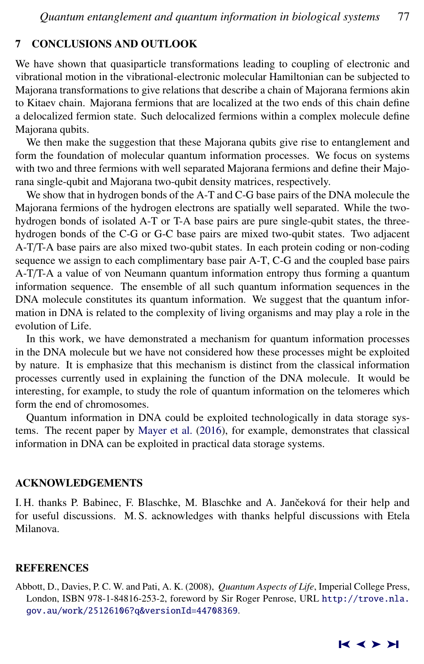### <span id="page-16-0"></span>7 CONCLUSIONS AND OUTLOOK

We have shown that quasiparticle transformations leading to coupling of electronic and vibrational motion in the vibrational-electronic molecular Hamiltonian can be subjected to Majorana transformations to give relations that describe a chain of Majorana fermions akin to Kitaev chain. Majorana fermions that are localized at the two ends of this chain define a delocalized fermion state. Such delocalized fermions within a complex molecule define Majorana qubits.

We then make the suggestion that these Majorana qubits give rise to entanglement and form the foundation of molecular quantum information processes. We focus on systems with two and three fermions with well separated Majorana fermions and define their Majorana single-qubit and Majorana two-qubit density matrices, respectively.

We show that in hydrogen bonds of the A-T and C-G base pairs of the DNA molecule the Majorana fermions of the hydrogen electrons are spatially well separated. While the twohydrogen bonds of isolated A-T or T-A base pairs are pure single-qubit states, the threehydrogen bonds of the C-G or G-C base pairs are mixed two-qubit states. Two adjacent A-T/T-A base pairs are also mixed two-qubit states. In each protein coding or non-coding sequence we assign to each complimentary base pair A-T, C-G and the coupled base pairs A-T/T-A a value of von Neumann quantum information entropy thus forming a quantum information sequence. The ensemble of all such quantum information sequences in the DNA molecule constitutes its quantum information. We suggest that the quantum information in DNA is related to the complexity of living organisms and may play a role in the evolution of Life.

In this work, we have demonstrated a mechanism for quantum information processes in the DNA molecule but we have not considered how these processes might be exploited by nature. It is emphasize that this mechanism is distinct from the classical information processes currently used in explaining the function of the DNA molecule. It would be interesting, for example, to study the role of quantum information on the telomeres which form the end of chromosomes.

Quantum information in DNA could be exploited technologically in data storage systems. The recent paper by [Mayer et al.](#page-21-0) [\(2016\)](#page-21-0), for example, demonstrates that classical information in DNA can be exploited in practical data storage systems.

#### ACKNOWLEDGEMENTS

I. H. thanks P. Babinec, F. Blaschke, M. Blaschke and A. Jančeková for their help and for useful discussions. M. S. acknowledges with thanks helpful discussions with Etela Milanova.

#### REFERENCES

Abbott, D., Davies, P. C. W. and Pati, A. K. (2008), *Quantum Aspects of Life*, Imperial College Press, London, ISBN 978-1-84816-253-2, foreword by Sir Roger Penrose, URL [http://trove.nla.](http://trove.nla.gov.au/work/25126106?q&versionId=44708369) [gov.au/work/25126106?q&versionId=44708369](http://trove.nla.gov.au/work/25126106?q&versionId=44708369).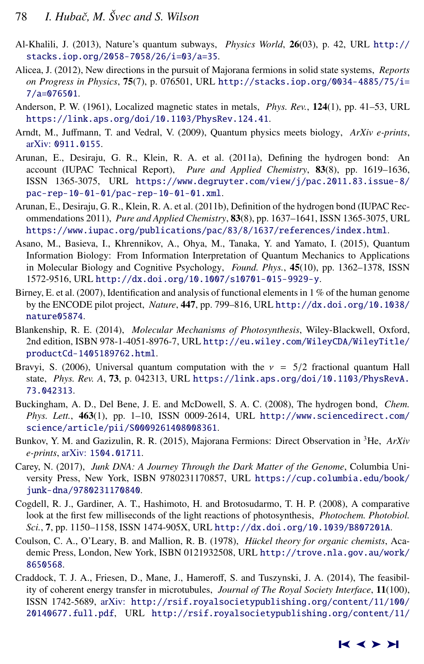- <span id="page-17-0"></span>Al-Khalili, J. (2013), Nature's quantum subways, *Physics World*, 26(03), p. 42, URL [http://](http://stacks.iop.org/2058-7058/26/i=03/a=35) [stacks.iop.org/2058-7058/26/i=03/a=35](http://stacks.iop.org/2058-7058/26/i=03/a=35).
- Alicea, J. (2012), New directions in the pursuit of Majorana fermions in solid state systems, *Reports on Progress in Physics*, 75(7), p. 076501, URL [http://stacks.iop.org/0034-4885/75/i=](http://stacks.iop.org/0034-4885/75/i=7/a=076501) [7/a=076501](http://stacks.iop.org/0034-4885/75/i=7/a=076501).
- Anderson, P. W. (1961), Localized magnetic states in metals, *Phys. Rev.*, 124(1), pp. 41–53, URL <https://link.aps.org/doi/10.1103/PhysRev.124.41>.
- Arndt, M., Juffmann, T. and Vedral, V. (2009), Quantum physics meets biology, *ArXiv e-prints*, arXiv: [0911.0155](http://www.arxiv.org/abs/0911.0155).
- Arunan, E., Desiraju, G. R., Klein, R. A. et al. (2011a), Defining the hydrogen bond: An account (IUPAC Technical Report), *Pure and Applied Chemistry*, 83(8), pp. 1619–1636, ISSN 1365-3075, URL [https://www.degruyter.com/view/j/pac.2011.83.issue-8/](https://www.degruyter.com/view/j/pac.2011.83.issue-8/pac-rep-10-01-01/pac-rep-10-01-01.xml) [pac-rep-10-01-01/pac-rep-10-01-01.xml](https://www.degruyter.com/view/j/pac.2011.83.issue-8/pac-rep-10-01-01/pac-rep-10-01-01.xml).
- Arunan, E., Desiraju, G. R., Klein, R. A. et al. (2011b), Definition of the hydrogen bond (IUPAC Recommendations 2011), *Pure and Applied Chemistry*, 83(8), pp. 1637–1641, ISSN 1365-3075, URL <https://www.iupac.org/publications/pac/83/8/1637/references/index.html>.
- Asano, M., Basieva, I., Khrennikov, A., Ohya, M., Tanaka, Y. and Yamato, I. (2015), Quantum Information Biology: From Information Interpretation of Quantum Mechanics to Applications in Molecular Biology and Cognitive Psychology, *Found. Phys.*, 45(10), pp. 1362–1378, ISSN 1572-9516, URL <http://dx.doi.org/10.1007/s10701-015-9929-y>.
- Birney, E. et al. (2007), Identification and analysis of functional elements in 1 % of the human genome by the ENCODE pilot project, *Nature*, 447, pp. 799–816, URL [http://dx.doi.org/10.1038/](http://dx.doi.org/10.1038/nature05874) [nature05874](http://dx.doi.org/10.1038/nature05874).
- Blankenship, R. E. (2014), *Molecular Mechanisms of Photosynthesis*, Wiley-Blackwell, Oxford, 2nd edition, ISBN 978-1-4051-8976-7, URL [http://eu.wiley.com/WileyCDA/WileyTitle/](http://eu.wiley.com/WileyCDA/WileyTitle/productCd-1405189762.html) [productCd-1405189762.html](http://eu.wiley.com/WileyCDA/WileyTitle/productCd-1405189762.html).
- Bravyi, S. (2006), Universal quantum computation with the  $v = 5/2$  fractional quantum Hall state, *Phys. Rev. A*, 73, p. 042313, URL [https://link.aps.org/doi/10.1103/PhysRevA.](https://link.aps.org/doi/10.1103/PhysRevA.73.042313) [73.042313](https://link.aps.org/doi/10.1103/PhysRevA.73.042313).
- Buckingham, A. D., Del Bene, J. E. and McDowell, S. A. C. (2008), The hydrogen bond, *Chem. Phys. Lett.*, 463(1), pp. 1–10, ISSN 0009-2614, URL [http://www.sciencedirect.com/](http://www.sciencedirect.com/science/article/pii/S0009261408008361) [science/article/pii/S0009261408008361](http://www.sciencedirect.com/science/article/pii/S0009261408008361).
- Bunkov, Y. M. and Gazizulin, R. R. (2015), Majorana Fermions: Direct Observation in <sup>3</sup>He, *ArXiv e-prints*, arXiv: [1504.01711](http://www.arxiv.org/abs/1504.01711).
- Carey, N. (2017), *Junk DNA: A Journey Through the Dark Matter of the Genome*, Columbia University Press, New York, ISBN 9780231170857, URL [https://cup.columbia.edu/book/](https://cup.columbia.edu/book/junk-dna/9780231170840) [junk-dna/9780231170840](https://cup.columbia.edu/book/junk-dna/9780231170840).
- Cogdell, R. J., Gardiner, A. T., Hashimoto, H. and Brotosudarmo, T. H. P. (2008), A comparative look at the first few milliseconds of the light reactions of photosynthesis, *Photochem. Photobiol. Sci.*, 7, pp. 1150–1158, ISSN 1474-905X, URL <http://dx.doi.org/10.1039/B807201A>.
- Coulson, C. A., O'Leary, B. and Mallion, R. B. (1978), *Hückel theory for organic chemists*, Academic Press, London, New York, ISBN 0121932508, URL [http://trove.nla.gov.au/work/](http://trove.nla.gov.au/work/8650568) [8650568](http://trove.nla.gov.au/work/8650568).
- Craddock, T. J. A., Friesen, D., Mane, J., Hameroff, S. and Tuszynski, J. A. (2014), The feasibility of coherent energy transfer in microtubules, *Journal of The Royal Society Interface*, 11(100), ISSN 1742-5689, arXiv: [http://rsif.royalsocietypublishing.org/content/11/100/](http://www.arxiv.org/abs/http://rsif.royalsocietypublishing.org/content/11/100/20140677.full.pdf) [20140677.full.pdf](http://www.arxiv.org/abs/http://rsif.royalsocietypublishing.org/content/11/100/20140677.full.pdf), URL [http://rsif.royalsocietypublishing.org/content/11/](http://rsif.royalsocietypublishing.org/content/11/100/20140677)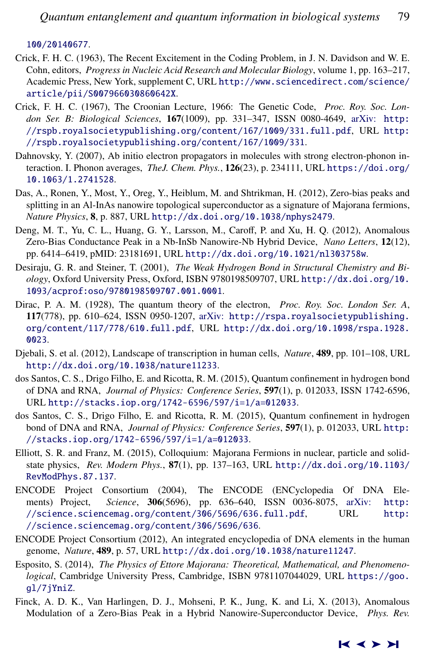<span id="page-18-0"></span>[100/20140677](http://rsif.royalsocietypublishing.org/content/11/100/20140677).

- Crick, F. H. C. (1963), The Recent Excitement in the Coding Problem, in J. N. Davidson and W. E. Cohn, editors, *Progress in Nucleic Acid Research and Molecular Biology*, volume 1, pp. 163–217, Academic Press, New York, supplement C, URL [http://www.sciencedirect.com/science/](http://www.sciencedirect.com/science/article/pii/S007966030860642X) [article/pii/S007966030860642X](http://www.sciencedirect.com/science/article/pii/S007966030860642X).
- Crick, F. H. C. (1967), The Croonian Lecture, 1966: The Genetic Code, *Proc. Roy. Soc. London Ser. B: Biological Sciences*, 167(1009), pp. 331–347, ISSN 0080-4649, arXiv: [http:](http://www.arxiv.org/abs/http://rspb.royalsocietypublishing.org/content/167/1009/331.full.pdf) [//rspb.royalsocietypublishing.org/content/167/1009/331.full.pdf](http://www.arxiv.org/abs/http://rspb.royalsocietypublishing.org/content/167/1009/331.full.pdf), URL [http:](http://rspb.royalsocietypublishing.org/content/167/1009/331) [//rspb.royalsocietypublishing.org/content/167/1009/331](http://rspb.royalsocietypublishing.org/content/167/1009/331).
- Dahnovsky, Y. (2007), Ab initio electron propagators in molecules with strong electron-phonon interaction. I. Phonon averages, *TheJ. Chem. Phys.*, 126(23), p. 234111, URL [https://doi.org/](https://doi.org/10.1063/1.2741528) [10.1063/1.2741528](https://doi.org/10.1063/1.2741528).
- Das, A., Ronen, Y., Most, Y., Oreg, Y., Heiblum, M. and Shtrikman, H. (2012), Zero-bias peaks and splitting in an Al-InAs nanowire topological superconductor as a signature of Majorana fermions, *Nature Physics*, 8, p. 887, URL <http://dx.doi.org/10.1038/nphys2479>.
- Deng, M. T., Yu, C. L., Huang, G. Y., Larsson, M., Caroff, P. and Xu, H. Q. (2012), Anomalous Zero-Bias Conductance Peak in a Nb-InSb Nanowire-Nb Hybrid Device, *Nano Letters*, 12(12), pp. 6414–6419, pMID: 23181691, URL <http://dx.doi.org/10.1021/nl303758w>.
- Desiraju, G. R. and Steiner, T. (2001), *The Weak Hydrogen Bond in Structural Chemistry and Biology*, Oxford University Press, Oxford, ISBN 9780198509707, URL [http://dx.doi.org/10.](http://dx.doi.org/10.1093/acprof:oso/9780198509707.001.0001) [1093/acprof:oso/9780198509707.001.0001](http://dx.doi.org/10.1093/acprof:oso/9780198509707.001.0001).
- Dirac, P. A. M. (1928), The quantum theory of the electron, *Proc. Roy. Soc. London Ser. A*, 117(778), pp. 610–624, ISSN 0950-1207, arXiv: [http://rspa.royalsocietypublishing.](http://www.arxiv.org/abs/http://rspa.royalsocietypublishing.org/content/117/778/610.full.pdf) [org/content/117/778/610.full.pdf](http://www.arxiv.org/abs/http://rspa.royalsocietypublishing.org/content/117/778/610.full.pdf), URL [http://dx.doi.org/10.1098/rspa.1928.](http://dx.doi.org/10.1098/rspa.1928.0023) [0023](http://dx.doi.org/10.1098/rspa.1928.0023).
- Djebali, S. et al. (2012), Landscape of transcription in human cells, *Nature*, 489, pp. 101–108, URL <http://dx.doi.org/10.1038/nature11233>.
- dos Santos, C. S., Drigo Filho, E. and Ricotta, R. M. (2015), Quantum confinement in hydrogen bond of DNA and RNA, *Journal of Physics: Conference Series*, 597(1), p. 012033, ISSN 1742-6596, URL <http://stacks.iop.org/1742-6596/597/i=1/a=012033>.
- dos Santos, C. S., Drigo Filho, E. and Ricotta, R. M. (2015), Quantum confinement in hydrogen bond of DNA and RNA, *Journal of Physics: Conference Series*, 597(1), p. 012033, URL [http:](http://stacks.iop.org/1742-6596/597/i=1/a=012033) [//stacks.iop.org/1742-6596/597/i=1/a=012033](http://stacks.iop.org/1742-6596/597/i=1/a=012033).
- Elliott, S. R. and Franz, M. (2015), Colloquium: Majorana Fermions in nuclear, particle and solidstate physics, *Rev. Modern Phys.*, 87(1), pp. 137–163, URL [http://dx.doi.org/10.1103/](http://dx.doi.org/10.1103/RevModPhys.87.137) [RevModPhys.87.137](http://dx.doi.org/10.1103/RevModPhys.87.137).
- ENCODE Project Consortium (2004), The ENCODE (ENCyclopedia Of DNA Elements) Project, *Science*, 306(5696), pp. 636–640, ISSN 0036-8075, arXiv: [http:](http://www.arxiv.org/abs/http://science.sciencemag.org/content/306/5696/636.full.pdf) [//science.sciencemag.org/content/306/5696/636.full.pdf](http://www.arxiv.org/abs/http://science.sciencemag.org/content/306/5696/636.full.pdf), URL [http:](http://science.sciencemag.org/content/306/5696/636) [//science.sciencemag.org/content/306/5696/636](http://science.sciencemag.org/content/306/5696/636).
- ENCODE Project Consortium (2012), An integrated encyclopedia of DNA elements in the human genome, *Nature*, 489, p. 57, URL <http://dx.doi.org/10.1038/nature11247>.
- Esposito, S. (2014), *The Physics of Ettore Majorana: Theoretical, Mathematical, and Phenomenological*, Cambridge University Press, Cambridge, ISBN 9781107044029, URL [https://goo.](https://goo.gl/7jYniZ) [gl/7jYniZ](https://goo.gl/7jYniZ).
- Finck, A. D. K., Van Harlingen, D. J., Mohseni, P. K., Jung, K. and Li, X. (2013), Anomalous Modulation of a Zero-Bias Peak in a Hybrid Nanowire-Superconductor Device, *Phys. Rev.*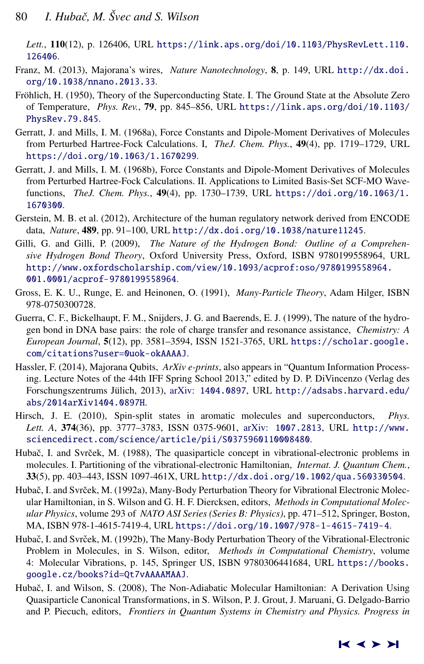<span id="page-19-0"></span>*Lett.*, 110(12), p. 126406, URL [https://link.aps.org/doi/10.1103/PhysRevLett.110.](https://link.aps.org/doi/10.1103/PhysRevLett.110.126406) [126406](https://link.aps.org/doi/10.1103/PhysRevLett.110.126406).

- Franz, M. (2013), Majorana's wires, *Nature Nanotechnology*, 8, p. 149, URL [http://dx.doi.](http://dx.doi.org/10.1038/nnano.2013.33) [org/10.1038/nnano.2013.33](http://dx.doi.org/10.1038/nnano.2013.33).
- Fröhlich, H. (1950), Theory of the Superconducting State. I. The Ground State at the Absolute Zero of Temperature, *Phys. Rev.*, 79, pp. 845–856, URL [https://link.aps.org/doi/10.1103/](https://link.aps.org/doi/10.1103/PhysRev.79.845) [PhysRev.79.845](https://link.aps.org/doi/10.1103/PhysRev.79.845).
- Gerratt, J. and Mills, I. M. (1968a), Force Constants and Dipole-Moment Derivatives of Molecules from Perturbed Hartree-Fock Calculations. I, *TheJ. Chem. Phys.*, 49(4), pp. 1719–1729, URL <https://doi.org/10.1063/1.1670299>.
- Gerratt, J. and Mills, I. M. (1968b), Force Constants and Dipole-Moment Derivatives of Molecules from Perturbed Hartree-Fock Calculations. II. Applications to Limited Basis-Set SCF-MO Wavefunctions, *TheJ. Chem. Phys.*, 49(4), pp. 1730–1739, URL [https://doi.org/10.1063/1.](https://doi.org/10.1063/1.1670300) [1670300](https://doi.org/10.1063/1.1670300).
- Gerstein, M. B. et al. (2012), Architecture of the human regulatory network derived from ENCODE data, *Nature*, 489, pp. 91–100, URL <http://dx.doi.org/10.1038/nature11245>.
- Gilli, G. and Gilli, P. (2009), *The Nature of the Hydrogen Bond: Outline of a Comprehensive Hydrogen Bond Theory*, Oxford University Press, Oxford, ISBN 9780199558964, URL [http://www.oxfordscholarship.com/view/10.1093/acprof:oso/9780199558964.](http://www.oxfordscholarship.com/view/10.1093/acprof:oso/9780199558964.001.0001/acprof-9780199558964) [001.0001/acprof-9780199558964](http://www.oxfordscholarship.com/view/10.1093/acprof:oso/9780199558964.001.0001/acprof-9780199558964).
- Gross, E. K. U., Runge, E. and Heinonen, O. (1991), *Many-Particle Theory*, Adam Hilger, ISBN 978-0750300728.
- Guerra, C. F., Bickelhaupt, F. M., Snijders, J. G. and Baerends, E. J. (1999), The nature of the hydrogen bond in DNA base pairs: the role of charge transfer and resonance assistance, *Chemistry: A European Journal*, 5(12), pp. 3581–3594, ISSN 1521-3765, URL [https://scholar.google.](https://scholar.google.com/citations?user=0uok-okAAAAJ) [com/citations?user=0uok-okAAAAJ](https://scholar.google.com/citations?user=0uok-okAAAAJ).
- Hassler, F. (2014), Majorana Qubits, *ArXiv e-prints*, also appears in "Quantum Information Processing. Lecture Notes of the 44th IFF Spring School 2013," edited by D. P. DiVincenzo (Verlag des Forschungszentrums Jülich, 2013), arXiv: [1404.0897](http://www.arxiv.org/abs/1404.0897), URL [http://adsabs.harvard.edu/](http://adsabs.harvard.edu/abs/2014arXiv1404.0897H) [abs/2014arXiv1404.0897H](http://adsabs.harvard.edu/abs/2014arXiv1404.0897H).
- Hirsch, J. E. (2010), Spin-split states in aromatic molecules and superconductors, *Phys. Lett. A*, 374(36), pp. 3777–3783, ISSN 0375-9601, arXiv: [1007.2813](http://www.arxiv.org/abs/1007.2813), URL [http://www.](http://www.sciencedirect.com/science/article/pii/S0375960110008480) [sciencedirect.com/science/article/pii/S0375960110008480](http://www.sciencedirect.com/science/article/pii/S0375960110008480).
- Hubač, I. and Svrček, M. (1988), The quasiparticle concept in vibrational-electronic problems in molecules. I. Partitioning of the vibrational-electronic Hamiltonian, *Internat. J. Quantum Chem.*, 33(5), pp. 403–443, ISSN 1097-461X, URL <http://dx.doi.org/10.1002/qua.560330504>.
- Hubač, I. and Svrček, M. (1992a), Many-Body Perturbation Theory for Vibrational Electronic Molecular Hamiltonian, in S. Wilson and G. H. F. Diercksen, editors, *Methods in Computational Molecular Physics*, volume 293 of *NATO ASI Series (Series B: Physics)*, pp. 471–512, Springer, Boston, MA, ISBN 978-1-4615-7419-4, URL <https://doi.org/10.1007/978-1-4615-7419-4>.
- Hubač, I. and Svrček, M. (1992b), The Many-Body Perturbation Theory of the Vibrational-Electronic Problem in Molecules, in S. Wilson, editor, *Methods in Computational Chemistry*, volume 4: Molecular Vibrations, p. 145, Springer US, ISBN 9780306441684, URL [https://books.](https://books.google.cz/books?id=Qt7vAAAAMAAJ) [google.cz/books?id=Qt7vAAAAMAAJ](https://books.google.cz/books?id=Qt7vAAAAMAAJ).
- Hubač, I. and Wilson, S. (2008), The Non-Adiabatic Molecular Hamiltonian: A Derivation Using Quasiparticle Canonical Transformations, in S. Wilson, P. J. Grout, J. Maruani, G. Delgado-Barrio and P. Piecuch, editors, *Frontiers in Quantum Systems in Chemistry and Physics. Progress in*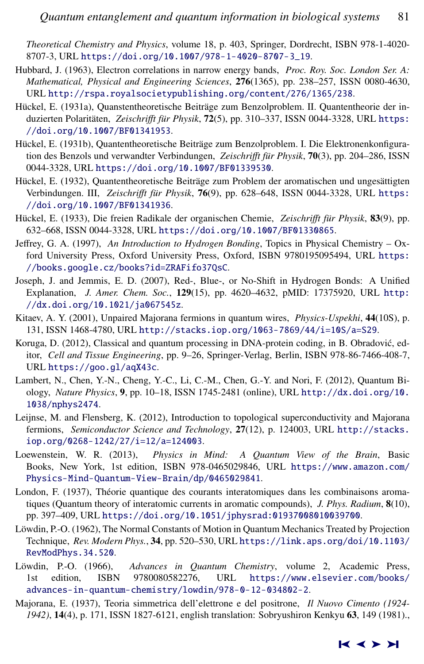<span id="page-20-0"></span>*Theoretical Chemistry and Physics*, volume 18, p. 403, Springer, Dordrecht, ISBN 978-1-4020- 8707-3, URL [https://doi.org/10.1007/978-1-4020-8707-3\\_19](https://doi.org/10.1007/978-1-4020-8707-3_19).

- Hubbard, J. (1963), Electron correlations in narrow energy bands, *Proc. Roy. Soc. London Ser. A: Mathematical, Physical and Engineering Sciences*, 276(1365), pp. 238–257, ISSN 0080-4630, URL <http://rspa.royalsocietypublishing.org/content/276/1365/238>.
- Hückel, E. (1931a), Quanstentheoretische Beiträge zum Benzolproblem. II. Quantentheorie der induzierten Polaritäten, Zeischrifft für Physik, 72(5), pp. 310-337, ISSN 0044-3328, URL [https:](https://doi.org/10.1007/BF01341953) [//doi.org/10.1007/BF01341953](https://doi.org/10.1007/BF01341953).
- Hückel, E. (1931b), Quantentheoretische Beiträge zum Benzolproblem. I. Die Elektronenkonfiguration des Benzols und verwandter Verbindungen, Zeischrifft für Physik, 70(3), pp. 204–286, ISSN 0044-3328, URL <https://doi.org/10.1007/BF01339530>.
- Hückel, E. (1932), Quantentheoretische Beiträge zum Problem der aromatischen und ungesättigten Verbindungen. III, Zeischrifft für Physik, 76(9), pp. 628–648, ISSN 0044-3328, URL [https:](https://doi.org/10.1007/BF01341936) [//doi.org/10.1007/BF01341936](https://doi.org/10.1007/BF01341936).
- Hückel, E. (1933), Die freien Radikale der organischen Chemie, Zeischrifft für Physik, 83(9), pp. 632–668, ISSN 0044-3328, URL <https://doi.org/10.1007/BF01330865>.
- Jeffrey, G. A. (1997), *An Introduction to Hydrogen Bonding*, Topics in Physical Chemistry Oxford University Press, Oxford University Press, Oxford, ISBN 9780195095494, URL [https:](https://books.google.cz/books?id=ZRAFifo37QsC) [//books.google.cz/books?id=ZRAFifo37QsC](https://books.google.cz/books?id=ZRAFifo37QsC).
- Joseph, J. and Jemmis, E. D. (2007), Red-, Blue-, or No-Shift in Hydrogen Bonds: A Unified Explanation, *J. Amer. Chem. Soc.*, 129(15), pp. 4620–4632, pMID: 17375920, URL [http:](http://dx.doi.org/10.1021/ja067545z) [//dx.doi.org/10.1021/ja067545z](http://dx.doi.org/10.1021/ja067545z).
- Kitaev, A. Y. (2001), Unpaired Majorana fermions in quantum wires, *Physics-Uspekhi*, 44(10S), p. 131, ISSN 1468-4780, URL <http://stacks.iop.org/1063-7869/44/i=10S/a=S29>.
- Koruga, D. (2012), Classical and quantum processing in DNA-protein coding, in B. Obradovic, ed- ´ itor, *Cell and Tissue Engineering*, pp. 9–26, Springer-Verlag, Berlin, ISBN 978-86-7466-408-7, URL <https://goo.gl/aqX43c>.
- Lambert, N., Chen, Y.-N., Cheng, Y.-C., Li, C.-M., Chen, G.-Y. and Nori, F. (2012), Quantum Biology, *Nature Physics*, 9, pp. 10–18, ISSN 1745-2481 (online), URL [http://dx.doi.org/10.](http://dx.doi.org/10.1038/nphys2474) [1038/nphys2474](http://dx.doi.org/10.1038/nphys2474).
- Leijnse, M. and Flensberg, K. (2012), Introduction to topological superconductivity and Majorana fermions, *Semiconductor Science and Technology*, 27(12), p. 124003, URL [http://stacks.](http://stacks.iop.org/0268-1242/27/i=12/a=124003) [iop.org/0268-1242/27/i=12/a=124003](http://stacks.iop.org/0268-1242/27/i=12/a=124003).
- Loewenstein, W. R. (2013), *Physics in Mind: A Quantum View of the Brain*, Basic Books, New York, 1st edition, ISBN 978-0465029846, URL [https://www.amazon.com/](https://www.amazon.com/Physics-Mind-Quantum-View-Brain/dp/0465029841) [Physics-Mind-Quantum-View-Brain/dp/0465029841](https://www.amazon.com/Physics-Mind-Quantum-View-Brain/dp/0465029841).
- London, F. (1937), Théorie quantique des courants interatomiques dans les combinaisons aromatiques (Quantum theory of interatomic currents in aromatic compounds), *J. Phys. Radium*, 8(10), pp. 397–409, URL <https://doi.org/10.1051/jphysrad:01937008010039700>.
- Löwdin, P.-O. (1962), The Normal Constants of Motion in Quantum Mechanics Treated by Projection Technique, *Rev. Modern Phys.*, 34, pp. 520–530, URL [https://link.aps.org/doi/10.1103/](https://link.aps.org/doi/10.1103/RevModPhys.34.520) [RevModPhys.34.520](https://link.aps.org/doi/10.1103/RevModPhys.34.520).
- Löwdin, P.-O. (1966), Advances in Quantum Chemistry, volume 2, Academic Press, 1st edition, ISBN 9780080582276, URL [https://www.elsevier.com/books/](https://www.elsevier.com/books/advances-in-quantum-chemistry/lowdin/978-0-12-034802-2) [advances-in-quantum-chemistry/lowdin/978-0-12-034802-2](https://www.elsevier.com/books/advances-in-quantum-chemistry/lowdin/978-0-12-034802-2).
- Majorana, E. (1937), Teoria simmetrica dell'elettrone e del positrone, *Il Nuovo Cimento (1924- 1942)*, 14(4), p. 171, ISSN 1827-6121, english translation: Sobryushiron Kenkyu 63, 149 (1981).,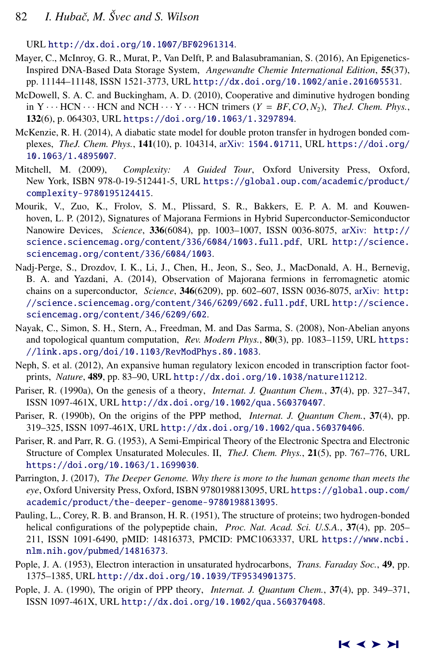<span id="page-21-0"></span>URL <http://dx.doi.org/10.1007/BF02961314>.

- Mayer, C., McInroy, G. R., Murat, P., Van Delft, P. and Balasubramanian, S. (2016), An Epigenetics-Inspired DNA-Based Data Storage System, *Angewandte Chemie International Edition*, 55(37), pp. 11144–11148, ISSN 1521-3773, URL <http://dx.doi.org/10.1002/anie.201605531>.
- McDowell, S. A. C. and Buckingham, A. D. (2010), Cooperative and diminutive hydrogen bonding in  $Y \cdots$  HCN  $\cdots$  HCN and NCH  $\cdots$  Y  $\cdots$  HCN trimers (*Y = BF*, *CO*, *N*<sub>2</sub>), *TheJ. Chem. Phys.*, 132(6), p. 064303, URL <https://doi.org/10.1063/1.3297894>.
- McKenzie, R. H. (2014), A diabatic state model for double proton transfer in hydrogen bonded complexes, *TheJ. Chem. Phys.*, 141(10), p. 104314, arXiv: [1504.01711](http://www.arxiv.org/abs/1504.01711), URL [https://doi.org/](https://doi.org/10.1063/1.4895007) [10.1063/1.4895007](https://doi.org/10.1063/1.4895007).
- Mitchell, M. (2009), *Complexity: A Guided Tour*, Oxford University Press, Oxford, New York, ISBN 978-0-19-512441-5, URL [https://global.oup.com/academic/product/](https://global.oup.com/academic/product/complexity-9780195124415) [complexity-9780195124415](https://global.oup.com/academic/product/complexity-9780195124415).
- Mourik, V., Zuo, K., Frolov, S. M., Plissard, S. R., Bakkers, E. P. A. M. and Kouwenhoven, L. P. (2012), Signatures of Majorana Fermions in Hybrid Superconductor-Semiconductor Nanowire Devices, *Science*, 336(6084), pp. 1003–1007, ISSN 0036-8075, arXiv: [http://](http://www.arxiv.org/abs/http://science.sciencemag.org/content/336/6084/1003.full.pdf) [science.sciencemag.org/content/336/6084/1003.full.pdf](http://www.arxiv.org/abs/http://science.sciencemag.org/content/336/6084/1003.full.pdf), URL [http://science.](http://science.sciencemag.org/content/336/6084/1003) [sciencemag.org/content/336/6084/1003](http://science.sciencemag.org/content/336/6084/1003).
- Nadj-Perge, S., Drozdov, I. K., Li, J., Chen, H., Jeon, S., Seo, J., MacDonald, A. H., Bernevig, B. A. and Yazdani, A. (2014), Observation of Majorana fermions in ferromagnetic atomic chains on a superconductor, *Science*, 346(6209), pp. 602–607, ISSN 0036-8075, arXiv: [http:](http://www.arxiv.org/abs/http://science.sciencemag.org/content/346/6209/602.full.pdf) [//science.sciencemag.org/content/346/6209/602.full.pdf](http://www.arxiv.org/abs/http://science.sciencemag.org/content/346/6209/602.full.pdf), URL [http://science.](http://science.sciencemag.org/content/346/6209/602) [sciencemag.org/content/346/6209/602](http://science.sciencemag.org/content/346/6209/602).
- Nayak, C., Simon, S. H., Stern, A., Freedman, M. and Das Sarma, S. (2008), Non-Abelian anyons and topological quantum computation, *Rev. Modern Phys.*, 80(3), pp. 1083–1159, URL [https:](https://link.aps.org/doi/10.1103/RevModPhys.80.1083) [//link.aps.org/doi/10.1103/RevModPhys.80.1083](https://link.aps.org/doi/10.1103/RevModPhys.80.1083).
- Neph, S. et al. (2012), An expansive human regulatory lexicon encoded in transcription factor footprints, *Nature*, 489, pp. 83–90, URL <http://dx.doi.org/10.1038/nature11212>.
- Pariser, R. (1990a), On the genesis of a theory, *Internat. J. Quantum Chem.*, 37(4), pp. 327–347, ISSN 1097-461X, URL <http://dx.doi.org/10.1002/qua.560370407>.
- Pariser, R. (1990b), On the origins of the PPP method, *Internat. J. Quantum Chem.*, 37(4), pp. 319–325, ISSN 1097-461X, URL <http://dx.doi.org/10.1002/qua.560370406>.
- Pariser, R. and Parr, R. G. (1953), A Semi-Empirical Theory of the Electronic Spectra and Electronic Structure of Complex Unsaturated Molecules. II, *TheJ. Chem. Phys.*, 21(5), pp. 767–776, URL <https://doi.org/10.1063/1.1699030>.
- Parrington, J. (2017), *The Deeper Genome. Why there is more to the human genome than meets the eye*, Oxford University Press, Oxford, ISBN 9780198813095, URL [https://global.oup.com/](https://global.oup.com/academic/product/the-deeper-genome-9780198813095) [academic/product/the-deeper-genome-9780198813095](https://global.oup.com/academic/product/the-deeper-genome-9780198813095).
- Pauling, L., Corey, R. B. and Branson, H. R. (1951), The structure of proteins; two hydrogen-bonded helical configurations of the polypeptide chain, *Proc. Nat. Acad. Sci. U.S.A.*, 37(4), pp. 205– 211, ISSN 1091-6490, pMID: 14816373, PMCID: PMC1063337, URL [https://www.ncbi.](https://www.ncbi.nlm.nih.gov/pubmed/14816373) [nlm.nih.gov/pubmed/14816373](https://www.ncbi.nlm.nih.gov/pubmed/14816373).
- Pople, J. A. (1953), Electron interaction in unsaturated hydrocarbons, *Trans. Faraday Soc.*, 49, pp. 1375–1385, URL <http://dx.doi.org/10.1039/TF9534901375>.
- Pople, J. A. (1990), The origin of PPP theory, *Internat. J. Quantum Chem.*, 37(4), pp. 349–371, ISSN 1097-461X, URL <http://dx.doi.org/10.1002/qua.560370408>.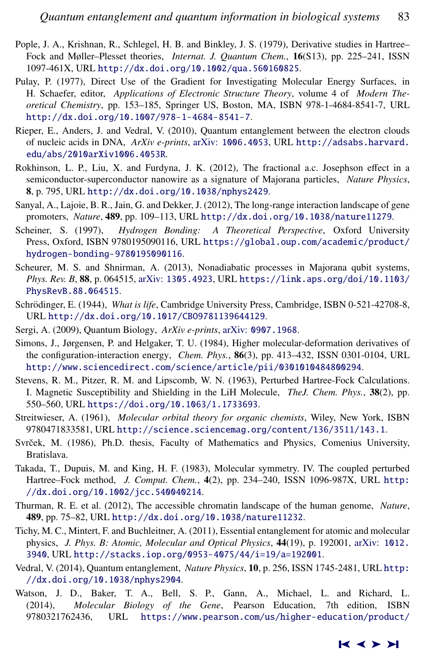- <span id="page-22-0"></span>Pople, J. A., Krishnan, R., Schlegel, H. B. and Binkley, J. S. (1979), Derivative studies in Hartree– Fock and Møller–Plesset theories, *Internat. J. Quantum Chem.*, 16(S13), pp. 225–241, ISSN 1097-461X, URL <http://dx.doi.org/10.1002/qua.560160825>.
- Pulay, P. (1977), Direct Use of the Gradient for Investigating Molecular Energy Surfaces, in H. Schaefer, editor, *Applications of Electronic Structure Theory*, volume 4 of *Modern Theoretical Chemistry*, pp. 153–185, Springer US, Boston, MA, ISBN 978-1-4684-8541-7, URL <http://dx.doi.org/10.1007/978-1-4684-8541-7>.
- Rieper, E., Anders, J. and Vedral, V. (2010), Quantum entanglement between the electron clouds of nucleic acids in DNA, *ArXiv e-prints*, arXiv: [1006.4053](http://www.arxiv.org/abs/1006.4053), URL [http://adsabs.harvard.](http://adsabs.harvard.edu/abs/2010arXiv1006.4053R) [edu/abs/2010arXiv1006.4053R](http://adsabs.harvard.edu/abs/2010arXiv1006.4053R).
- Rokhinson, L. P., Liu, X. and Furdyna, J. K. (2012), The fractional a.c. Josephson effect in a semiconductor-superconductor nanowire as a signature of Majorana particles, *Nature Physics*, 8, p. 795, URL <http://dx.doi.org/10.1038/nphys2429>.
- Sanyal, A., Lajoie, B. R., Jain, G. and Dekker, J. (2012), The long-range interaction landscape of gene promoters, *Nature*, 489, pp. 109–113, URL <http://dx.doi.org/10.1038/nature11279>.
- Scheiner, S. (1997), *Hydrogen Bonding: A Theoretical Perspective*, Oxford University Press, Oxford, ISBN 9780195090116, URL [https://global.oup.com/academic/product/](https://global.oup.com/academic/product/hydrogen-bonding-9780195090116) [hydrogen-bonding-9780195090116](https://global.oup.com/academic/product/hydrogen-bonding-9780195090116).
- Scheurer, M. S. and Shnirman, A. (2013), Nonadiabatic processes in Majorana qubit systems, *Phys. Rev. B*, 88, p. 064515, arXiv: [1305.4923](http://www.arxiv.org/abs/1305.4923), URL [https://link.aps.org/doi/10.1103/](https://link.aps.org/doi/10.1103/PhysRevB.88.064515) [PhysRevB.88.064515](https://link.aps.org/doi/10.1103/PhysRevB.88.064515).
- Schrödinger, E. (1944), *What is life*, Cambridge University Press, Cambridge, ISBN 0-521-42708-8, URL <http://dx.doi.org/10.1017/CBO9781139644129>.
- Sergi, A. (2009), Quantum Biology, *ArXiv e-prints*, arXiv: [0907.1968](http://www.arxiv.org/abs/0907.1968).
- Simons, J., Jørgensen, P. and Helgaker, T. U. (1984), Higher molecular-deformation derivatives of the configuration-interaction energy, *Chem. Phys.*, 86(3), pp. 413–432, ISSN 0301-0104, URL <http://www.sciencedirect.com/science/article/pii/0301010484800294>.
- Stevens, R. M., Pitzer, R. M. and Lipscomb, W. N. (1963), Perturbed Hartree-Fock Calculations. I. Magnetic Susceptibility and Shielding in the LiH Molecule, *TheJ. Chem. Phys.*, 38(2), pp. 550–560, URL <https://doi.org/10.1063/1.1733693>.
- Streitwieser, A. (1961), *Molecular orbital theory for organic chemists*, Wiley, New York, ISBN 9780471833581, URL <http://science.sciencemag.org/content/136/3511/143.1>.
- Svrček, M. (1986), Ph.D. thesis, Faculty of Mathematics and Physics, Comenius University, Bratislava.
- Takada, T., Dupuis, M. and King, H. F. (1983), Molecular symmetry. IV. The coupled perturbed Hartree–Fock method, *J. Comput. Chem.*, 4(2), pp. 234–240, ISSN 1096-987X, URL [http:](http://dx.doi.org/10.1002/jcc.540040214) [//dx.doi.org/10.1002/jcc.540040214](http://dx.doi.org/10.1002/jcc.540040214).
- Thurman, R. E. et al. (2012), The accessible chromatin landscape of the human genome, *Nature*, 489, pp. 75–82, URL <http://dx.doi.org/10.1038/nature11232>.
- Tichy, M. C., Mintert, F. and Buchleitner, A. (2011), Essential entanglement for atomic and molecular physics, *J. Phys. B: Atomic, Molecular and Optical Physics*, 44(19), p. 192001, arXiv: [1012.](http://www.arxiv.org/abs/1012.3940) [3940](http://www.arxiv.org/abs/1012.3940), URL <http://stacks.iop.org/0953-4075/44/i=19/a=192001>.
- Vedral, V. (2014), Quantum entanglement, *Nature Physics*, 10, p. 256, ISSN 1745-2481, URL [http:](http://dx.doi.org/10.1038/nphys2904) [//dx.doi.org/10.1038/nphys2904](http://dx.doi.org/10.1038/nphys2904).
- Watson, J. D., Baker, T. A., Bell, S. P., Gann, A., Michael, L. and Richard, L. (2014), *Molecular Biology of the Gene*, Pearson Education, 7th edition, ISBN 9780321762436, URL [https://www.pearson.com/us/higher-education/product/](https://www.pearson.com/us/higher-education/product/Watson-Molecular-Biology-of-the-Gene-7th-Edition/9780321762436.html)